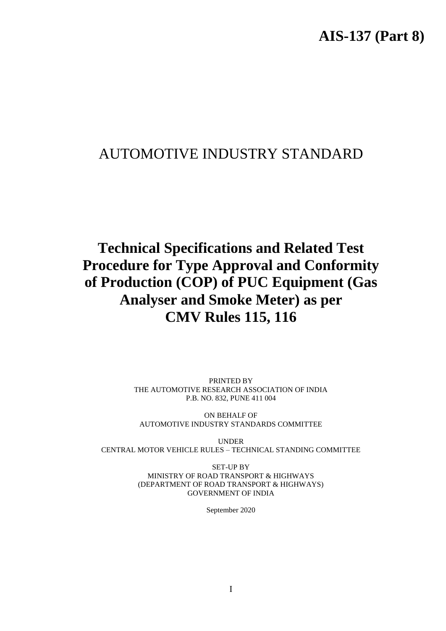# AUTOMOTIVE INDUSTRY STANDARD

# **Technical Specifications and Related Test Procedure for Type Approval and Conformity of Production (COP) of PUC Equipment (Gas Analyser and Smoke Meter) as per CMV Rules 115, 116**

PRINTED BY THE AUTOMOTIVE RESEARCH ASSOCIATION OF INDIA P.B. NO. 832, PUNE 411 004

ON BEHALF OF AUTOMOTIVE INDUSTRY STANDARDS COMMITTEE

UNDER CENTRAL MOTOR VEHICLE RULES – TECHNICAL STANDING COMMITTEE

> SET-UP BY MINISTRY OF ROAD TRANSPORT & HIGHWAYS (DEPARTMENT OF ROAD TRANSPORT & HIGHWAYS) GOVERNMENT OF INDIA

> > September 2020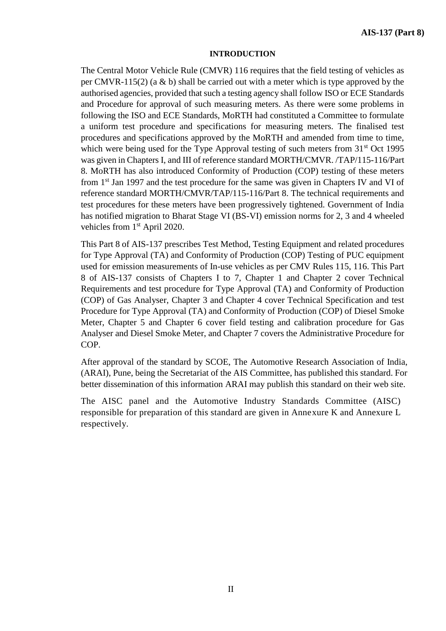#### **INTRODUCTION**

The Central Motor Vehicle Rule (CMVR) 116 requires that the field testing of vehicles as per CMVR-115(2) (a  $\&$  b) shall be carried out with a meter which is type approved by the authorised agencies, provided that such a testing agency shall follow ISO or ECE Standards and Procedure for approval of such measuring meters. As there were some problems in following the ISO and ECE Standards, MoRTH had constituted a Committee to formulate a uniform test procedure and specifications for measuring meters. The finalised test procedures and specifications approved by the MoRTH and amended from time to time, which were being used for the Type Approval testing of such meters from 31<sup>st</sup> Oct 1995 was given in Chapters I, and III of reference standard MORTH/CMVR. /TAP/115-116/Part 8. MoRTH has also introduced Conformity of Production (COP) testing of these meters from 1<sup>st</sup> Jan 1997 and the test procedure for the same was given in Chapters IV and VI of reference standard MORTH/CMVR/TAP/115-116/Part 8. The technical requirements and test procedures for these meters have been progressively tightened. Government of India has notified migration to Bharat Stage VI (BS-VI) emission norms for 2, 3 and 4 wheeled vehicles from 1<sup>st</sup> April 2020.

This Part 8 of AIS-137 prescribes Test Method, Testing Equipment and related procedures for Type Approval (TA) and Conformity of Production (COP) Testing of PUC equipment used for emission measurements of In-use vehicles as per CMV Rules 115, 116. This Part 8 of AIS-137 consists of Chapters I to 7, Chapter 1 and Chapter 2 cover Technical Requirements and test procedure for Type Approval (TA) and Conformity of Production (COP) of Gas Analyser, Chapter 3 and Chapter 4 cover Technical Specification and test Procedure for Type Approval (TA) and Conformity of Production (COP) of Diesel Smoke Meter, Chapter 5 and Chapter 6 cover field testing and calibration procedure for Gas Analyser and Diesel Smoke Meter, and Chapter 7 covers the Administrative Procedure for COP.

After approval of the standard by SCOE, The Automotive Research Association of India, (ARAI), Pune, being the Secretariat of the AIS Committee, has published this standard. For better dissemination of this information ARAI may publish this standard on their web site.

The AISC panel and the Automotive Industry Standards Committee (AISC) responsible for preparation of this standard are given in Annexure K and Annexure L respectively.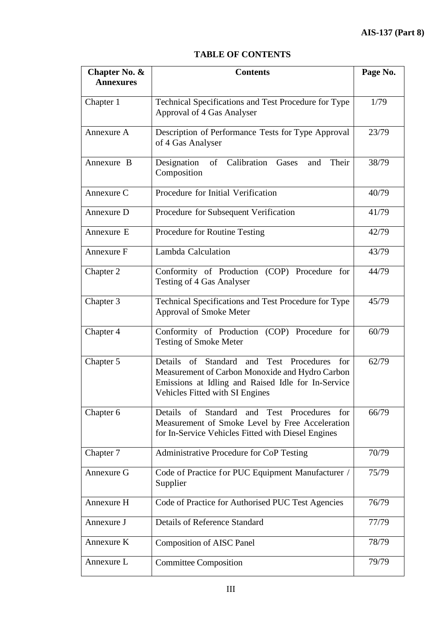# **TABLE OF CONTENTS**

| Chapter No. &<br><b>Annexures</b> | <b>Contents</b>                                                                                                                                                                                  | Page No. |
|-----------------------------------|--------------------------------------------------------------------------------------------------------------------------------------------------------------------------------------------------|----------|
| Chapter 1                         | Technical Specifications and Test Procedure for Type<br>Approval of 4 Gas Analyser                                                                                                               | 1/79     |
| Annexure A                        | Description of Performance Tests for Type Approval<br>of 4 Gas Analyser                                                                                                                          | 23/79    |
| Annexure B                        | Calibration<br>Designation<br>of<br>Gases<br>Their<br>and<br>Composition                                                                                                                         | 38/79    |
| Annexure C                        | Procedure for Initial Verification                                                                                                                                                               | 40/79    |
| Annexure D                        | Procedure for Subsequent Verification                                                                                                                                                            | 41/79    |
| Annexure E                        | Procedure for Routine Testing                                                                                                                                                                    | 42/79    |
| Annexure F                        | Lambda Calculation                                                                                                                                                                               | 43/79    |
| Chapter 2                         | Conformity of Production (COP) Procedure for<br><b>Testing of 4 Gas Analyser</b>                                                                                                                 | 44/79    |
| Chapter 3                         | Technical Specifications and Test Procedure for Type<br>Approval of Smoke Meter                                                                                                                  | 45/79    |
| Chapter 4                         | Conformity of Production (COP) Procedure for<br><b>Testing of Smoke Meter</b>                                                                                                                    | 60/79    |
| Chapter 5                         | Details of<br>Standard<br>and Test Procedures<br>for<br>Measurement of Carbon Monoxide and Hydro Carbon<br>Emissions at Idling and Raised Idle for In-Service<br>Vehicles Fitted with SI Engines | 62/79    |
| Chapter 6                         | Details of Standard<br>and Test Procedures<br>for<br>Measurement of Smoke Level by Free Acceleration<br>for In-Service Vehicles Fitted with Diesel Engines                                       | 66/79    |
| Chapter 7                         | Administrative Procedure for CoP Testing                                                                                                                                                         | 70/79    |
| Annexure G                        | Code of Practice for PUC Equipment Manufacturer /<br>Supplier                                                                                                                                    | 75/79    |
| Annexure H                        | Code of Practice for Authorised PUC Test Agencies                                                                                                                                                | 76/79    |
| Annexure J                        | <b>Details of Reference Standard</b>                                                                                                                                                             | 77/79    |
| Annexure K                        | <b>Composition of AISC Panel</b>                                                                                                                                                                 | 78/79    |
| Annexure L                        | <b>Committee Composition</b>                                                                                                                                                                     | 79/79    |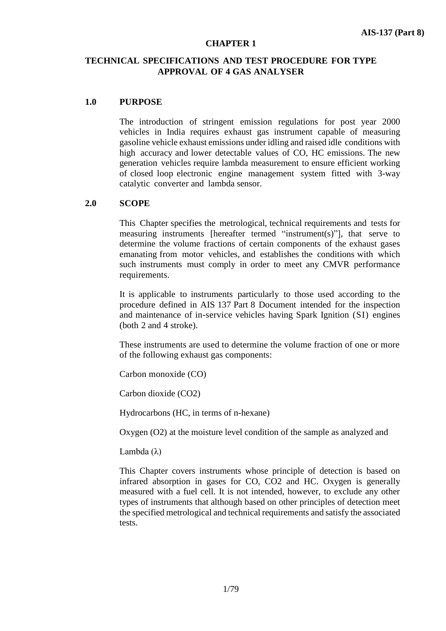#### **CHAPTER 1**

# **TECHNICAL SPECIFICATIONS AND TEST PROCEDURE FOR TYPE APPROVAL OF 4 GAS ANALYSER**

## **1.0 PURPOSE**

The introduction of stringent emission regulations for post year 2000 vehicles in India requires exhaust gas instrument capable of measuring gasoline vehicle exhaust emissions under idling and raised idle conditions with high accuracy and lower detectable values of CO, HC emissions. The new generation vehicles require lambda measurement to ensure efficient working of closed loop electronic engine management system fitted with 3-way catalytic converter and lambda sensor.

## **2.0 SCOPE**

This Chapter specifies the metrological, technical requirements and tests for measuring instruments [hereafter termed "instrument(s)"], that serve to determine the volume fractions of certain components of the exhaust gases emanating from motor vehicles, and establishes the conditions with which such instruments must comply in order to meet any CMVR performance requirements.

It is applicable to instruments particularly to those used according to the procedure defined in AIS 137 Part 8 Document intended for the inspection and maintenance of in-service vehicles having Spark Ignition (SI) engines (both 2 and 4 stroke).

These instruments are used to determine the volume fraction of one or more of the following exhaust gas components:

Carbon monoxide (CO)

Carbon dioxide (CO2)

Hydrocarbons (HC, in terms of n-hexane)

Oxygen (O2) at the moisture level condition of the sample as analyzed and

Lambda (λ)

This Chapter covers instruments whose principle of detection is based on infrared absorption in gases for CO, CO2 and HC. Oxygen is generally measured with a fuel cell. It is not intended, however, to exclude any other types of instruments that although based on other principles of detection meet the specified metrological and technical requirements and satisfy the associated tests.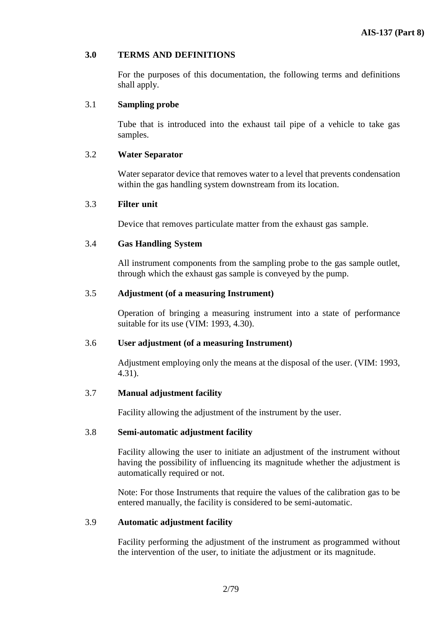## **3.0 TERMS AND DEFINITIONS**

For the purposes of this documentation, the following terms and definitions shall apply.

## 3.1 **Sampling probe**

Tube that is introduced into the exhaust tail pipe of a vehicle to take gas samples.

#### 3.2 **Water Separator**

Water separator device that removes water to a level that prevents condensation within the gas handling system downstream from its location.

#### 3.3 **Filter unit**

Device that removes particulate matter from the exhaust gas sample.

#### 3.4 **Gas Handling System**

All instrument components from the sampling probe to the gas sample outlet, through which the exhaust gas sample is conveyed by the pump.

### 3.5 **Adjustment (of a measuring Instrument)**

Operation of bringing a measuring instrument into a state of performance suitable for its use (VIM: 1993, 4.30).

#### 3.6 **User adjustment (of a measuring Instrument)**

Adjustment employing only the means at the disposal of the user. (VIM: 1993, 4.31).

## 3.7 **Manual adjustment facility**

Facility allowing the adjustment of the instrument by the user.

#### 3.8 **Semi-automatic adjustment facility**

Facility allowing the user to initiate an adjustment of the instrument without having the possibility of influencing its magnitude whether the adjustment is automatically required or not.

Note: For those Instruments that require the values of the calibration gas to be entered manually, the facility is considered to be semi-automatic.

#### 3.9 **Automatic adjustment facility**

Facility performing the adjustment of the instrument as programmed without the intervention of the user, to initiate the adjustment or its magnitude.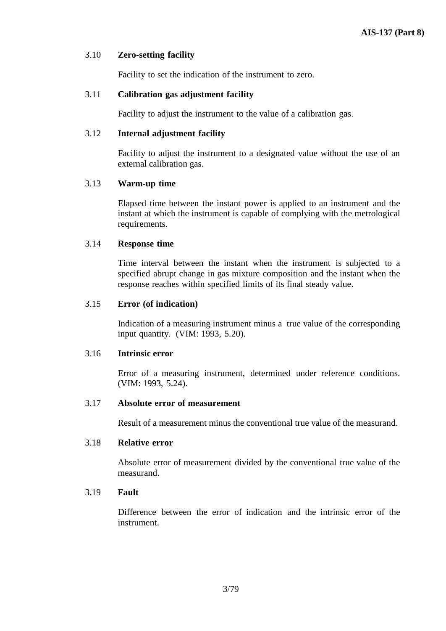## 3.10 **Zero-setting facility**

Facility to set the indication of the instrument to zero.

# 3.11 **Calibration gas adjustment facility**

Facility to adjust the instrument to the value of a calibration gas.

## 3.12 **Internal adjustment facility**

Facility to adjust the instrument to a designated value without the use of an external calibration gas.

# 3.13 **Warm-up time**

Elapsed time between the instant power is applied to an instrument and the instant at which the instrument is capable of complying with the metrological requirements.

# 3.14 **Response time**

Time interval between the instant when the instrument is subjected to a specified abrupt change in gas mixture composition and the instant when the response reaches within specified limits of its final steady value.

# 3.15 **Error (of indication)**

Indication of a measuring instrument minus a true value of the corresponding input quantity. (VIM: 1993, 5.20).

## 3.16 **Intrinsic error**

Error of a measuring instrument, determined under reference conditions. (VIM: 1993, 5.24).

## 3.17 **Absolute error of measurement**

Result of a measurement minus the conventional true value of the measurand.

## 3.18 **Relative error**

Absolute error of measurement divided by the conventional true value of the measurand.

## 3.19 **Fault**

Difference between the error of indication and the intrinsic error of the instrument.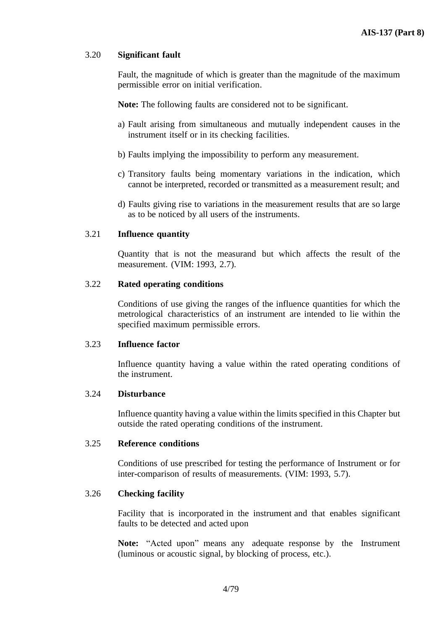## 3.20 **Significant fault**

Fault, the magnitude of which is greater than the magnitude of the maximum permissible error on initial verification.

**Note:** The following faults are considered not to be significant.

- a) Fault arising from simultaneous and mutually independent causes in the instrument itself or in its checking facilities.
- b) Faults implying the impossibility to perform any measurement.
- c) Transitory faults being momentary variations in the indication, which cannot be interpreted, recorded or transmitted as a measurement result; and
- d) Faults giving rise to variations in the measurement results that are so large as to be noticed by all users of the instruments.

## 3.21 **Influence quantity**

Quantity that is not the measurand but which affects the result of the measurement. (VIM: 1993, 2.7).

#### 3.22 **Rated operating conditions**

Conditions of use giving the ranges of the influence quantities for which the metrological characteristics of an instrument are intended to lie within the specified maximum permissible errors.

#### 3.23 **Influence factor**

Influence quantity having a value within the rated operating conditions of the instrument.

#### 3.24 **Disturbance**

Influence quantity having a value within the limits specified in this Chapter but outside the rated operating conditions of the instrument.

#### 3.25 **Reference conditions**

Conditions of use prescribed for testing the performance of Instrument or for inter-comparison of results of measurements. (VIM: 1993, 5.7).

#### 3.26 **Checking facility**

Facility that is incorporated in the instrument and that enables significant faults to be detected and acted upon

**Note:** "Acted upon" means any adequate response by the Instrument (luminous or acoustic signal, by blocking of process, etc.).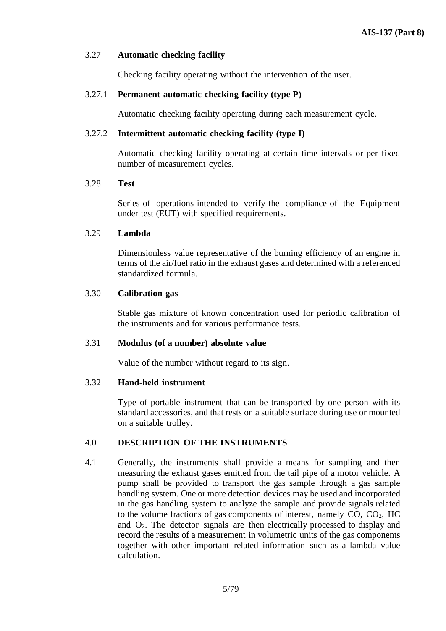#### 3.27 **Automatic checking facility**

Checking facility operating without the intervention of the user.

#### 3.27.1 **Permanent automatic checking facility (type P)**

Automatic checking facility operating during each measurement cycle.

#### 3.27.2 **Intermittent automatic checking facility (type I)**

Automatic checking facility operating at certain time intervals or per fixed number of measurement cycles.

#### 3.28 **Test**

Series of operations intended to verify the compliance of the Equipment under test (EUT) with specified requirements.

#### 3.29 **Lambda**

Dimensionless value representative of the burning efficiency of an engine in terms of the air/fuel ratio in the exhaust gases and determined with a referenced standardized formula.

#### 3.30 **Calibration gas**

Stable gas mixture of known concentration used for periodic calibration of the instruments and for various performance tests.

#### 3.31 **Modulus (of a number) absolute value**

Value of the number without regard to its sign.

## 3.32 **Hand-held instrument**

Type of portable instrument that can be transported by one person with its standard accessories, and that rests on a suitable surface during use or mounted on a suitable trolley.

## 4.0 **DESCRIPTION OF THE INSTRUMENTS**

4.1 Generally, the instruments shall provide a means for sampling and then measuring the exhaust gases emitted from the tail pipe of a motor vehicle. A pump shall be provided to transport the gas sample through a gas sample handling system. One or more detection devices may be used and incorporated in the gas handling system to analyze the sample and provide signals related to the volume fractions of gas components of interest, namely  $CO$ ,  $CO<sub>2</sub>$ ,  $HC$ and O2. The detector signals are then electrically processed to display and record the results of a measurement in volumetric units of the gas components together with other important related information such as a lambda value calculation.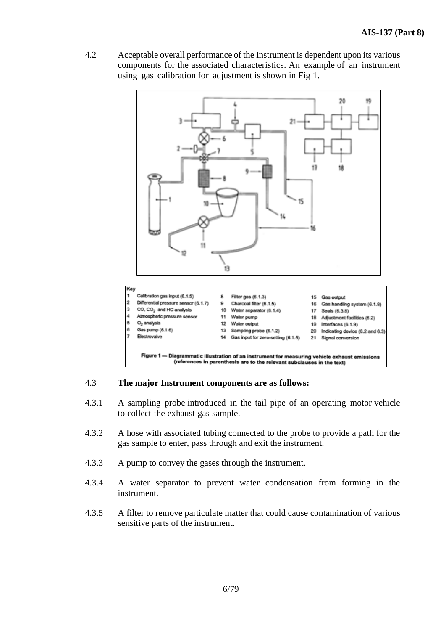4.2 Acceptable overall performance of the Instrument is dependent upon its various components for the associated characteristics. An example of an instrument using gas calibration for adjustment is shown in Fig 1.



## 4.3 **The major Instrument components are as follows:**

- 4.3.1 A sampling probe introduced in the tail pipe of an operating motor vehicle to collect the exhaust gas sample.
- 4.3.2 A hose with associated tubing connected to the probe to provide a path for the gas sample to enter, pass through and exit the instrument.
- 4.3.3 A pump to convey the gases through the instrument.
- 4.3.4 A water separator to prevent water condensation from forming in the instrument.
- 4.3.5 A filter to remove particulate matter that could cause contamination of various sensitive parts of the instrument.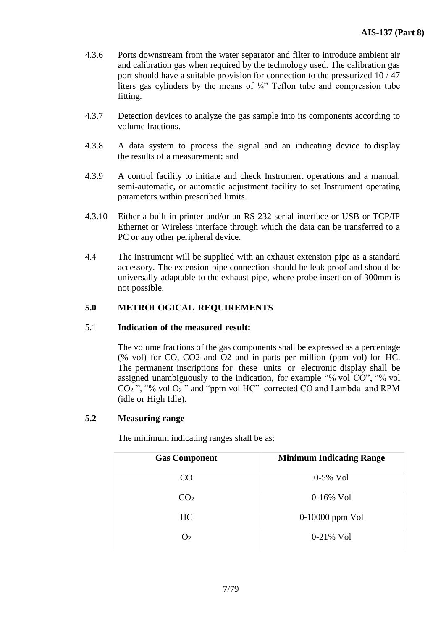- 4.3.6 Ports downstream from the water separator and filter to introduce ambient air and calibration gas when required by the technology used. The calibration gas port should have a suitable provision for connection to the pressurized 10 / 47 liters gas cylinders by the means of  $\frac{1}{4}$ " Teflon tube and compression tube fitting.
- 4.3.7 Detection devices to analyze the gas sample into its components according to volume fractions.
- 4.3.8 A data system to process the signal and an indicating device to display the results of a measurement; and
- 4.3.9 A control facility to initiate and check Instrument operations and a manual, semi-automatic, or automatic adjustment facility to set Instrument operating parameters within prescribed limits.
- 4.3.10 Either a built-in printer and/or an RS 232 serial interface or USB or TCP/IP Ethernet or Wireless interface through which the data can be transferred to a PC or any other peripheral device.
- 4.4 The instrument will be supplied with an exhaust extension pipe as a standard accessory. The extension pipe connection should be leak proof and should be universally adaptable to the exhaust pipe, where probe insertion of 300mm is not possible.

# **5.0 METROLOGICAL REQUIREMENTS**

# 5.1 **Indication of the measured result:**

The volume fractions of the gas components shall be expressed as a percentage (% vol) for CO, CO2 and O2 and in parts per million (ppm vol) for HC. The permanent inscriptions for these units or electronic display shall be assigned unambiguously to the indication, for example "% vol CO", "% vol  $CO<sub>2</sub>$ ", "% vol  $O<sub>2</sub>$ " and "ppm vol HC" corrected CO and Lambda and RPM (idle or High Idle).

# **5.2 Measuring range**

The minimum indicating ranges shall be as:

| <b>Gas Component</b> | <b>Minimum Indicating Range</b> |
|----------------------|---------------------------------|
| CO.                  | $0-5\%$ Vol                     |
| CO <sub>2</sub>      | $0-16\%$ Vol                    |
| HC                   | $0-10000$ ppm Vol               |
| O <sub>2</sub>       | $0-21\%$ Vol                    |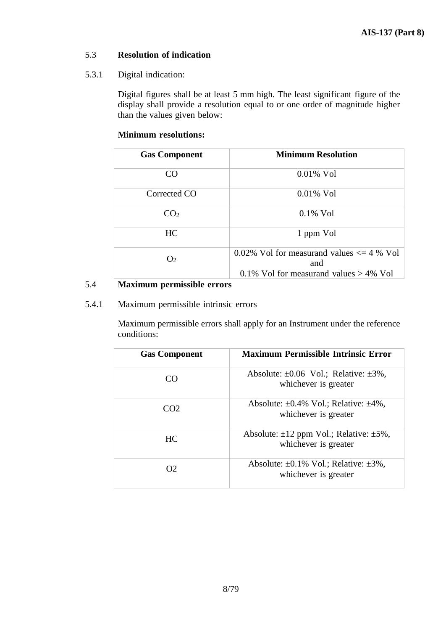# 5.3 **Resolution of indication**

# 5.3.1 Digital indication:

Digital figures shall be at least 5 mm high. The least significant figure of the display shall provide a resolution equal to or one order of magnitude higher than the values given below:

# **Minimum resolutions:**

| <b>Gas Component</b> | <b>Minimum Resolution</b>                                                                         |
|----------------------|---------------------------------------------------------------------------------------------------|
| CO                   | $0.01\%$ Vol                                                                                      |
| Corrected CO         | $0.01\%$ Vol                                                                                      |
| CO <sub>2</sub>      | $0.1\%$ Vol                                                                                       |
| <b>HC</b>            | 1 ppm Vol                                                                                         |
| O <sub>2</sub>       | 0.02% Vol for measurand values $\leq$ 4 % Vol<br>and<br>0.1% Vol for measurand values $> 4\%$ Vol |

# 5.4 **Maximum permissible errors**

# 5.4.1 Maximum permissible intrinsic errors

Maximum permissible errors shall apply for an Instrument under the reference conditions:

| <b>Gas Component</b> | <b>Maximum Permissible Intrinsic Error</b>                                 |
|----------------------|----------------------------------------------------------------------------|
| ററ                   | Absolute: $\pm 0.06$ Vol.; Relative: $\pm 3\%$ ,<br>whichever is greater   |
| CO2                  | Absolute: $\pm 0.4\%$ Vol.; Relative: $\pm 4\%$ ,<br>whichever is greater  |
| HC.                  | Absolute: $\pm 12$ ppm Vol.; Relative: $\pm 5\%$ ,<br>whichever is greater |
| OŽ.                  | Absolute: $\pm 0.1\%$ Vol.; Relative: $\pm 3\%$ ,<br>whichever is greater  |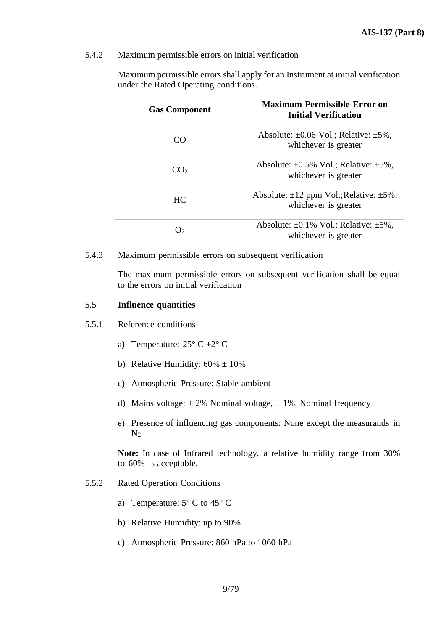#### 5.4.2 Maximum permissible errors on initial verification

| <b>Gas Component</b> | Maximum Permissible Error on<br><b>Initial Verification</b>                |
|----------------------|----------------------------------------------------------------------------|
| ( `( )               | Absolute: $\pm 0.06$ Vol.; Relative: $\pm 5\%$ ,<br>whichever is greater   |
| CO <sub>2</sub>      | Absolute: $\pm 0.5\%$ Vol.; Relative: $\pm 5\%$ ,<br>whichever is greater  |
| HC.                  | Absolute: $\pm 12$ ppm Vol.; Relative: $\pm 5\%$ ,<br>whichever is greater |
|                      | Absolute: $\pm 0.1\%$ Vol.; Relative: $\pm 5\%$ ,<br>whichever is greater  |

Maximum permissible errors shall apply for an Instrument at initial verification under the Rated Operating conditions.

#### 5.4.3 Maximum permissible errors on subsequent verification

The maximum permissible errors on subsequent verification shall be equal to the errors on initial verification

#### 5.5 **Influence quantities**

#### 5.5.1 Reference conditions

- a) Temperature:  $25^{\circ}$  C  $\pm 2^{\circ}$  C
- b) Relative Humidity:  $60\% \pm 10\%$
- c) Atmospheric Pressure: Stable ambient
- d) Mains voltage:  $\pm 2\%$  Nominal voltage,  $\pm 1\%$ , Nominal frequency
- e) Presence of influencing gas components: None except the measurands in  $N<sub>2</sub>$

**Note:** In case of Infrared technology, a relative humidity range from 30% to 60% is acceptable.

- 5.5.2 Rated Operation Conditions
	- a) Temperature:  $5^{\circ}$  C to  $45^{\circ}$  C
	- b) Relative Humidity: up to 90%
	- c) Atmospheric Pressure: 860 hPa to 1060 hPa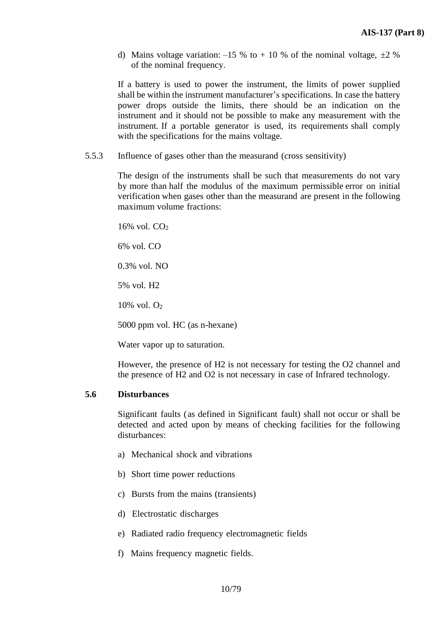d) Mains voltage variation:  $-15 %$  to  $+ 10 %$  of the nominal voltage,  $\pm 2 %$ of the nominal frequency.

If a battery is used to power the instrument, the limits of power supplied shall be within the instrument manufacturer's specifications. In case the battery power drops outside the limits, there should be an indication on the instrument and it should not be possible to make any measurement with the instrument. If a portable generator is used, its requirements shall comply with the specifications for the mains voltage.

5.5.3 Influence of gases other than the measurand (cross sensitivity)

The design of the instruments shall be such that measurements do not vary by more than half the modulus of the maximum permissible error on initial verification when gases other than the measurand are present in the following maximum volume fractions:

 $16\%$  vol.  $CO<sub>2</sub>$ 

6% vol. CO

0.3% vol. NO

5% vol. H2

10% vol. O<sup>2</sup>

5000 ppm vol. HC (as n-hexane)

Water vapor up to saturation.

However, the presence of H2 is not necessary for testing the O2 channel and the presence of H2 and O2 is not necessary in case of Infrared technology.

## **5.6 Disturbances**

Significant faults (as defined in Significant fault) shall not occur or shall be detected and acted upon by means of checking facilities for the following disturbances:

- a) Mechanical shock and vibrations
- b) Short time power reductions
- c) Bursts from the mains (transients)
- d) Electrostatic discharges
- e) Radiated radio frequency electromagnetic fields
- f) Mains frequency magnetic fields.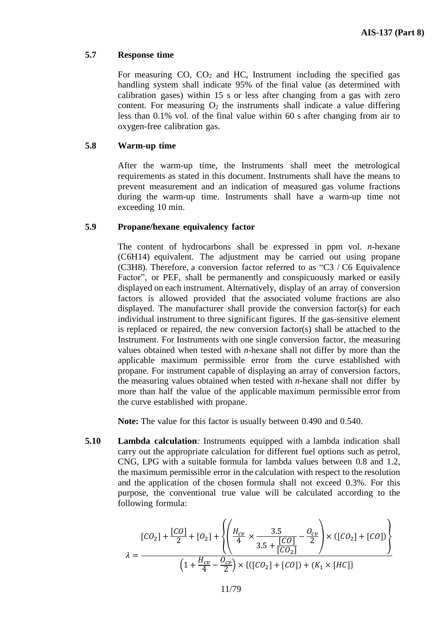## **5.7 Response time**

For measuring  $CO$ ,  $CO<sub>2</sub>$  and HC, Instrument including the specified gas handling system shall indicate 95% of the final value (as determined with calibration gases) within 15 s or less after changing from a gas with zero content. For measuring  $O_2$  the instruments shall indicate a value differing less than 0.1% vol. of the final value within 60 s after changing from air to oxygen-free calibration gas.

## **5.8 Warm-up time**

After the warm-up time, the Instruments shall meet the metrological requirements as stated in this document. Instruments shall have the means to prevent measurement and an indication of measured gas volume fractions during the warm-up time. Instruments shall have a warm-up time not exceeding 10 min.

# **5.9 Propane/hexane equivalency factor**

The content of hydrocarbons shall be expressed in ppm vol. *n*-hexane (C6H14) equivalent. The adjustment may be carried out using propane (C3H8). Therefore, a conversion factor referred to as "C3 / C6 Equivalence Factor", or PEF, shall be permanently and conspicuously marked or easily displayed on each instrument. Alternatively, display of an array of conversion factors is allowed provided that the associated volume fractions are also displayed. The manufacturer shall provide the conversion factor(s) for each individual instrument to three significant figures. If the gas-sensitive element is replaced or repaired, the new conversion factor(s) shall be attached to the Instrument. For Instruments with one single conversion factor, the measuring values obtained when tested with *n*-hexane shall not differ by more than the applicable maximum permissible error from the curve established with propane. For instrument capable of displaying an array of conversion factors, the measuring values obtained when tested with *n*-hexane shall not differ by more than half the value of the applicable maximum permissible error from the curve established with propane.

**Note:** The value for this factor is usually between 0.490 and 0.540.

**5.10 Lambda calculation***:* Instruments equipped with a lambda indication shall carry out the appropriate calculation for different fuel options such as petrol, CNG, LPG with a suitable formula for lambda values between 0.8 and 1.2, the maximum permissible error in the calculation with respect to the resolution and the application of the chosen formula shall not exceed 0.3%. For this purpose, the conventional true value will be calculated according to the following formula:

$$
[CO_2] + \frac{[CO]}{2} + [O_2] + \left\{ \left( \frac{H_{cv}}{4} \times \frac{3.5}{3.5 + \frac{[CO]}{[CO_2]}} - \frac{O_{cv}}{2} \right) \times ([CO_2] + [CO]) \right\}
$$
  

$$
\lambda = \frac{\left( 1 + \frac{H_{cv}}{4} - \frac{O_{cv}}{2} \right) \times \left\{ ([CO_2] + [CO]) + (K_1 \times [HC]) \right\}}{2}
$$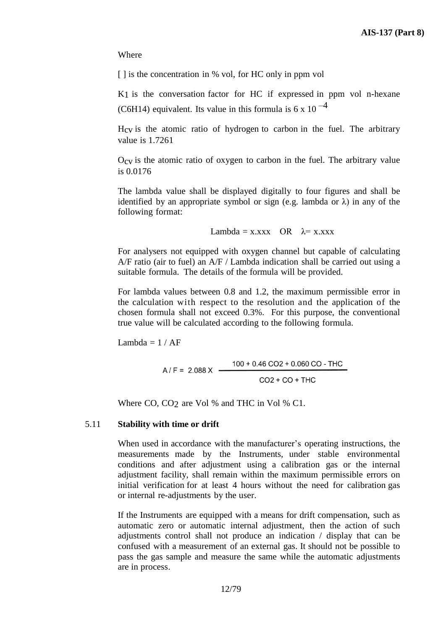Where

[] is the concentration in % vol, for HC only in ppm vol

K<sub>1</sub> is the conversation factor for HC if expressed in ppm vol n-hexane (C6H14) equivalent. Its value in this formula is 6 x 10 $^{-4}$ 

Hcv is the atomic ratio of hydrogen to carbon in the fuel. The arbitrary value is 1.7261

Ocv is the atomic ratio of oxygen to carbon in the fuel. The arbitrary value is 0.0176

The lambda value shall be displayed digitally to four figures and shall be identified by an appropriate symbol or sign (e.g. lambda or  $\lambda$ ) in any of the following format:

Lambda = x.xxx OR  $\lambda$  = x.xxx

For analysers not equipped with oxygen channel but capable of calculating A/F ratio (air to fuel) an A/F / Lambda indication shall be carried out using a suitable formula. The details of the formula will be provided.

For lambda values between 0.8 and 1.2, the maximum permissible error in the calculation with respect to the resolution and the application of the chosen formula shall not exceed 0.3%. For this purpose, the conventional true value will be calculated according to the following formula.

Lambda =  $1 / AF$ 

$$
A/F = 2.088 \times \frac{100 + 0.46 \text{ CO2} + 0.060 \text{ CO} - \text{THC}}{\text{CO2} + \text{CO} + \text{THC}}
$$

Where CO, CO<sub>2</sub> are Vol % and THC in Vol % C1.

#### 5.11 **Stability with time or drift**

When used in accordance with the manufacturer's operating instructions, the measurements made by the Instruments, under stable environmental conditions and after adjustment using a calibration gas or the internal adjustment facility, shall remain within the maximum permissible errors on initial verification for at least 4 hours without the need for calibration gas or internal re-adjustments by the user.

If the Instruments are equipped with a means for drift compensation, such as automatic zero or automatic internal adjustment, then the action of such adjustments control shall not produce an indication / display that can be confused with a measurement of an external gas. It should not be possible to pass the gas sample and measure the same while the automatic adjustments are in process.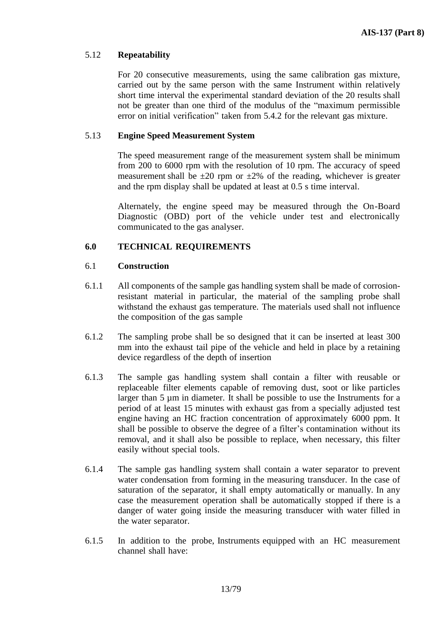# 5.12 **Repeatability**

For 20 consecutive measurements, using the same calibration gas mixture, carried out by the same person with the same Instrument within relatively short time interval the experimental standard deviation of the 20 results shall not be greater than one third of the modulus of the "maximum permissible error on initial verification" taken from 5.4.2 for the relevant gas mixture.

## 5.13 **Engine Speed Measurement System**

The speed measurement range of the measurement system shall be minimum from 200 to 6000 rpm with the resolution of 10 rpm. The accuracy of speed measurement shall be  $\pm 20$  rpm or  $\pm 2\%$  of the reading, whichever is greater and the rpm display shall be updated at least at 0.5 s time interval.

Alternately, the engine speed may be measured through the On-Board Diagnostic (OBD) port of the vehicle under test and electronically communicated to the gas analyser.

# **6.0 TECHNICAL REQUIREMENTS**

## 6.1 **Construction**

- 6.1.1 All components of the sample gas handling system shall be made of corrosionresistant material in particular, the material of the sampling probe shall withstand the exhaust gas temperature. The materials used shall not influence the composition of the gas sample
- 6.1.2 The sampling probe shall be so designed that it can be inserted at least 300 mm into the exhaust tail pipe of the vehicle and held in place by a retaining device regardless of the depth of insertion
- 6.1.3 The sample gas handling system shall contain a filter with reusable or replaceable filter elements capable of removing dust, soot or like particles larger than 5 µm in diameter. It shall be possible to use the Instruments for a period of at least 15 minutes with exhaust gas from a specially adjusted test engine having an HC fraction concentration of approximately 6000 ppm. It shall be possible to observe the degree of a filter's contamination without its removal, and it shall also be possible to replace, when necessary, this filter easily without special tools.
- 6.1.4 The sample gas handling system shall contain a water separator to prevent water condensation from forming in the measuring transducer. In the case of saturation of the separator, it shall empty automatically or manually. In any case the measurement operation shall be automatically stopped if there is a danger of water going inside the measuring transducer with water filled in the water separator.
- 6.1.5 In addition to the probe, Instruments equipped with an HC measurement channel shall have: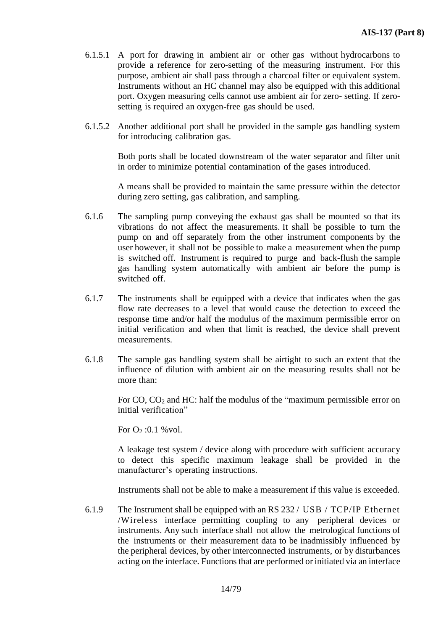- 6.1.5.1 A port for drawing in ambient air or other gas without hydrocarbons to provide a reference for zero-setting of the measuring instrument. For this purpose, ambient air shall pass through a charcoal filter or equivalent system. Instruments without an HC channel may also be equipped with this additional port. Oxygen measuring cells cannot use ambient air for zero- setting. If zerosetting is required an oxygen-free gas should be used.
- 6.1.5.2 Another additional port shall be provided in the sample gas handling system for introducing calibration gas.

Both ports shall be located downstream of the water separator and filter unit in order to minimize potential contamination of the gases introduced.

A means shall be provided to maintain the same pressure within the detector during zero setting, gas calibration, and sampling.

- 6.1.6 The sampling pump conveying the exhaust gas shall be mounted so that its vibrations do not affect the measurements. It shall be possible to turn the pump on and off separately from the other instrument components by the user however, it shall not be possible to make a measurement when the pump is switched off. Instrument is required to purge and back-flush the sample gas handling system automatically with ambient air before the pump is switched off.
- 6.1.7 The instruments shall be equipped with a device that indicates when the gas flow rate decreases to a level that would cause the detection to exceed the response time and/or half the modulus of the maximum permissible error on initial verification and when that limit is reached, the device shall prevent measurements.
- 6.1.8 The sample gas handling system shall be airtight to such an extent that the influence of dilution with ambient air on the measuring results shall not be more than:

For CO, CO<sup>2</sup> and HC: half the modulus of the "maximum permissible error on initial verification"

For  $O_2$ :0.1 % vol.

A leakage test system / device along with procedure with sufficient accuracy to detect this specific maximum leakage shall be provided in the manufacturer's operating instructions.

Instruments shall not be able to make a measurement if this value is exceeded.

6.1.9 The Instrument shall be equipped with an RS 232 / USB / TCP/IP Ethernet /Wireless interface permitting coupling to any peripheral devices or instruments. Any such interface shall not allow the metrological functions of the instruments or their measurement data to be inadmissibly influenced by the peripheral devices, by other interconnected instruments, or by disturbances acting on the interface. Functions that are performed or initiated via an interface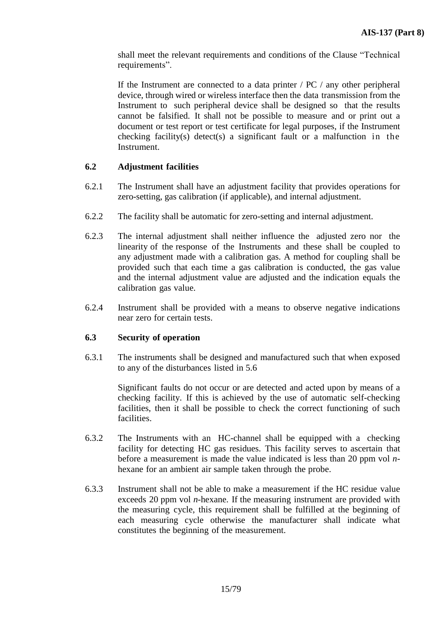shall meet the relevant requirements and conditions of the Clause "Technical requirements".

If the Instrument are connected to a data printer / PC / any other peripheral device, through wired or wireless interface then the data transmission from the Instrument to such peripheral device shall be designed so that the results cannot be falsified. It shall not be possible to measure and or print out a document or test report or test certificate for legal purposes, if the Instrument checking facility(s) detect(s) a significant fault or a malfunction in the Instrument.

# **6.2 Adjustment facilities**

- 6.2.1 The Instrument shall have an adjustment facility that provides operations for zero-setting, gas calibration (if applicable), and internal adjustment.
- 6.2.2 The facility shall be automatic for zero-setting and internal adjustment.
- 6.2.3 The internal adjustment shall neither influence the adjusted zero nor the linearity of the response of the Instruments and these shall be coupled to any adjustment made with a calibration gas. A method for coupling shall be provided such that each time a gas calibration is conducted, the gas value and the internal adjustment value are adjusted and the indication equals the calibration gas value.
- 6.2.4 Instrument shall be provided with a means to observe negative indications near zero for certain tests.

## **6.3 Security of operation**

6.3.1 The instruments shall be designed and manufactured such that when exposed to any of the disturbances listed in 5.6

> Significant faults do not occur or are detected and acted upon by means of a checking facility. If this is achieved by the use of automatic self-checking facilities, then it shall be possible to check the correct functioning of such facilities.

- 6.3.2 The Instruments with an HC-channel shall be equipped with a checking facility for detecting HC gas residues. This facility serves to ascertain that before a measurement is made the value indicated is less than 20 ppm vol *n*hexane for an ambient air sample taken through the probe.
- 6.3.3 Instrument shall not be able to make a measurement if the HC residue value exceeds 20 ppm vol *n*-hexane. If the measuring instrument are provided with the measuring cycle, this requirement shall be fulfilled at the beginning of each measuring cycle otherwise the manufacturer shall indicate what constitutes the beginning of the measurement.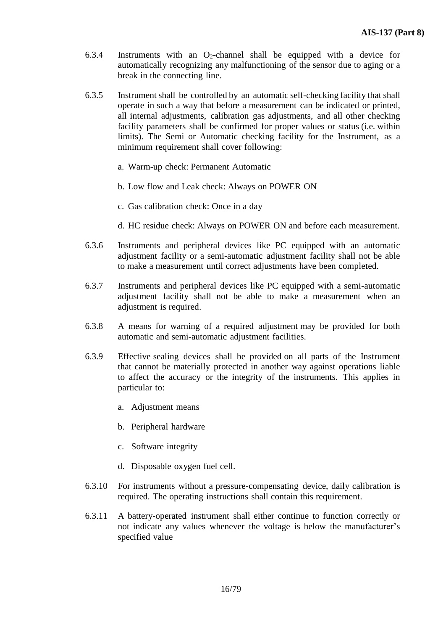- 6.3.4 Instruments with an  $O_2$ -channel shall be equipped with a device for automatically recognizing any malfunctioning of the sensor due to aging or a break in the connecting line.
- 6.3.5 Instrument shall be controlled by an automatic self-checking facility that shall operate in such a way that before a measurement can be indicated or printed, all internal adjustments, calibration gas adjustments, and all other checking facility parameters shall be confirmed for proper values or status (i.e. within limits). The Semi or Automatic checking facility for the Instrument, as a minimum requirement shall cover following:
	- a. Warm-up check: Permanent Automatic
	- b. Low flow and Leak check: Always on POWER ON
	- c. Gas calibration check: Once in a day
	- d. HC residue check: Always on POWER ON and before each measurement.
- 6.3.6 Instruments and peripheral devices like PC equipped with an automatic adjustment facility or a semi-automatic adjustment facility shall not be able to make a measurement until correct adjustments have been completed.
- 6.3.7 Instruments and peripheral devices like PC equipped with a semi-automatic adjustment facility shall not be able to make a measurement when an adjustment is required.
- 6.3.8 A means for warning of a required adjustment may be provided for both automatic and semi-automatic adjustment facilities.
- 6.3.9 Effective sealing devices shall be provided on all parts of the Instrument that cannot be materially protected in another way against operations liable to affect the accuracy or the integrity of the instruments. This applies in particular to:
	- a. Adjustment means
	- b. Peripheral hardware
	- c. Software integrity
	- d. Disposable oxygen fuel cell.
- 6.3.10 For instruments without a pressure-compensating device, daily calibration is required. The operating instructions shall contain this requirement.
- 6.3.11 A battery-operated instrument shall either continue to function correctly or not indicate any values whenever the voltage is below the manufacturer's specified value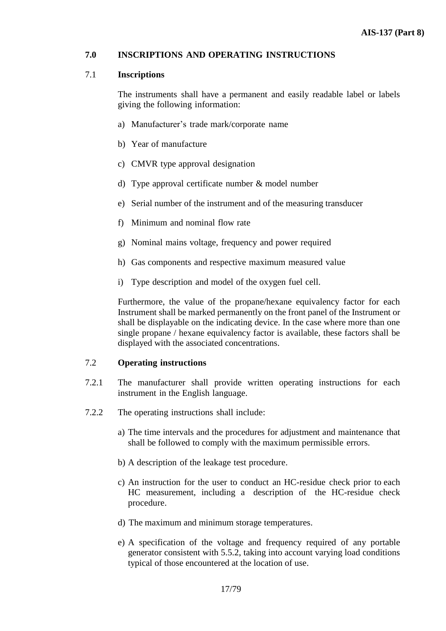## **7.0 INSCRIPTIONS AND OPERATING INSTRUCTIONS**

#### 7.1 **Inscriptions**

The instruments shall have a permanent and easily readable label or labels giving the following information:

- a) Manufacturer's trade mark/corporate name
- b) Year of manufacture
- c) CMVR type approval designation
- d) Type approval certificate number & model number
- e) Serial number of the instrument and of the measuring transducer
- f) Minimum and nominal flow rate
- g) Nominal mains voltage, frequency and power required
- h) Gas components and respective maximum measured value
- i) Type description and model of the oxygen fuel cell.

Furthermore, the value of the propane/hexane equivalency factor for each Instrument shall be marked permanently on the front panel of the Instrument or shall be displayable on the indicating device. In the case where more than one single propane / hexane equivalency factor is available, these factors shall be displayed with the associated concentrations.

#### 7.2 **Operating instructions**

- 7.2.1 The manufacturer shall provide written operating instructions for each instrument in the English language.
- 7.2.2 The operating instructions shall include:
	- a) The time intervals and the procedures for adjustment and maintenance that shall be followed to comply with the maximum permissible errors.
	- b) A description of the leakage test procedure.
	- c) An instruction for the user to conduct an HC-residue check prior to each HC measurement, including a description of the HC-residue check procedure.
	- d) The maximum and minimum storage temperatures.
	- e) A specification of the voltage and frequency required of any portable generator consistent with 5.5.2, taking into account varying load conditions typical of those encountered at the location of use.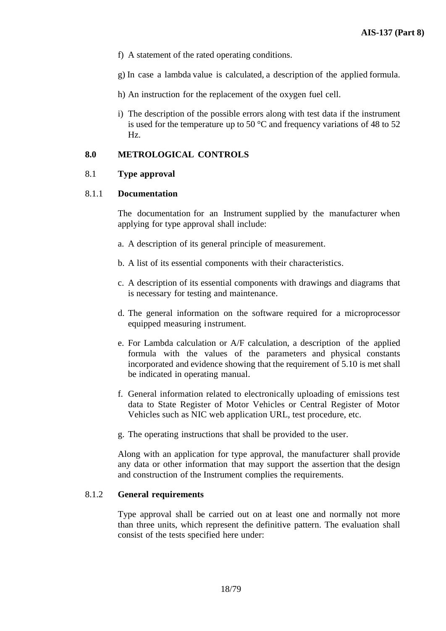- f) A statement of the rated operating conditions.
- g) In case a lambda value is calculated, a description of the applied formula.
- h) An instruction for the replacement of the oxygen fuel cell.
- i) The description of the possible errors along with test data if the instrument is used for the temperature up to 50  $^{\circ}$ C and frequency variations of 48 to 52 Hz.

## **8.0 METROLOGICAL CONTROLS**

## 8.1 **Type approval**

#### 8.1.1 **Documentation**

The documentation for an Instrument supplied by the manufacturer when applying for type approval shall include:

- a. A description of its general principle of measurement.
- b. A list of its essential components with their characteristics.
- c. A description of its essential components with drawings and diagrams that is necessary for testing and maintenance.
- d. The general information on the software required for a microprocessor equipped measuring instrument.
- e. For Lambda calculation or A/F calculation, a description of the applied formula with the values of the parameters and physical constants incorporated and evidence showing that the requirement of 5.10 is met shall be indicated in operating manual.
- f. General information related to electronically uploading of emissions test data to State Register of Motor Vehicles or Central Register of Motor Vehicles such as NIC web application URL, test procedure, etc.
- g. The operating instructions that shall be provided to the user.

Along with an application for type approval, the manufacturer shall provide any data or other information that may support the assertion that the design and construction of the Instrument complies the requirements.

#### 8.1.2 **General requirements**

Type approval shall be carried out on at least one and normally not more than three units, which represent the definitive pattern. The evaluation shall consist of the tests specified here under: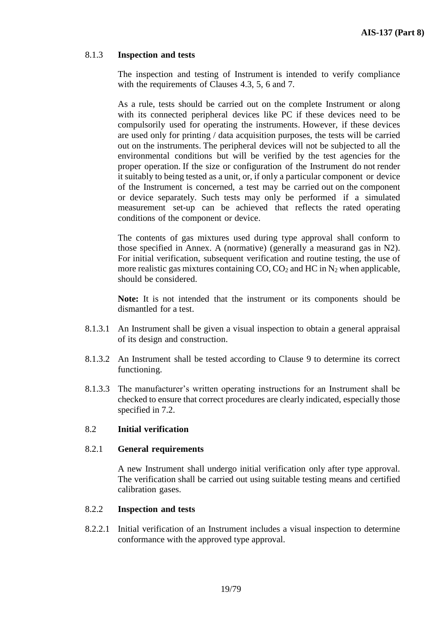# 8.1.3 **Inspection and tests**

The inspection and testing of Instrument is intended to verify compliance with the requirements of Clauses 4.3, 5, 6 and 7.

As a rule, tests should be carried out on the complete Instrument or along with its connected peripheral devices like PC if these devices need to be compulsorily used for operating the instruments. However, if these devices are used only for printing / data acquisition purposes, the tests will be carried out on the instruments. The peripheral devices will not be subjected to all the environmental conditions but will be verified by the test agencies for the proper operation. If the size or configuration of the Instrument do not render it suitably to being tested as a unit, or, if only a particular component or device of the Instrument is concerned, a test may be carried out on the component or device separately. Such tests may only be performed if a simulated measurement set-up can be achieved that reflects the rated operating conditions of the component or device.

The contents of gas mixtures used during type approval shall conform to those specified in Annex. A (normative) (generally a measurand gas in N2). For initial verification, subsequent verification and routine testing, the use of more realistic gas mixtures containing  $CO$ ,  $CO<sub>2</sub>$  and HC in N<sub>2</sub> when applicable, should be considered.

**Note:** It is not intended that the instrument or its components should be dismantled for a test.

- 8.1.3.1 An Instrument shall be given a visual inspection to obtain a general appraisal of its design and construction.
- 8.1.3.2 An Instrument shall be tested according to Clause 9 to determine its correct functioning.
- 8.1.3.3 The manufacturer's written operating instructions for an Instrument shall be checked to ensure that correct procedures are clearly indicated, especially those specified in 7.2.

## 8.2 **Initial verification**

#### 8.2.1 **General requirements**

A new Instrument shall undergo initial verification only after type approval. The verification shall be carried out using suitable testing means and certified calibration gases.

## 8.2.2 **Inspection and tests**

8.2.2.1 Initial verification of an Instrument includes a visual inspection to determine conformance with the approved type approval.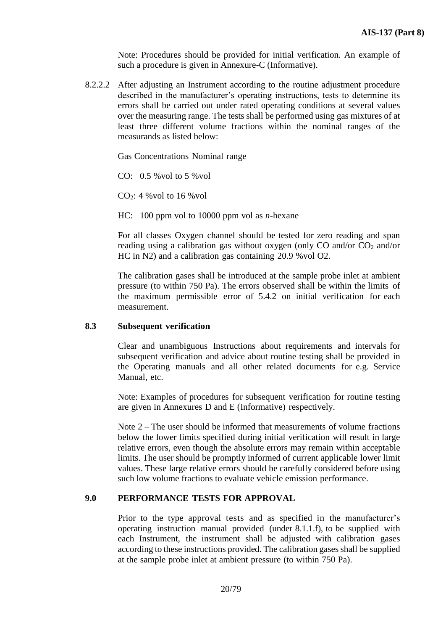Note: Procedures should be provided for initial verification. An example of such a procedure is given in Annexure-C (Informative).

8.2.2.2 After adjusting an Instrument according to the routine adjustment procedure described in the manufacturer's operating instructions, tests to determine its errors shall be carried out under rated operating conditions at several values over the measuring range. The tests shall be performed using gas mixtures of at least three different volume fractions within the nominal ranges of the measurands as listed below:

Gas Concentrations Nominal range

CO: 0.5 %vol to 5 %vol

 $CO<sub>2</sub>: 4$  % vol to 16 % vol

HC: 100 ppm vol to 10000 ppm vol as *n*-hexane

For all classes Oxygen channel should be tested for zero reading and span reading using a calibration gas without oxygen (only CO and/or  $CO<sub>2</sub>$  and/or HC in N2) and a calibration gas containing 20.9 %vol O2.

The calibration gases shall be introduced at the sample probe inlet at ambient pressure (to within 750 Pa). The errors observed shall be within the limits of the maximum permissible error of 5.4.2 on initial verification for each measurement.

#### **8.3 Subsequent verification**

Clear and unambiguous Instructions about requirements and intervals for subsequent verification and advice about routine testing shall be provided in the Operating manuals and all other related documents for e.g. Service Manual, etc.

Note: Examples of procedures for subsequent verification for routine testing are given in Annexures D and E (Informative) respectively.

Note  $2 -$ The user should be informed that measurements of volume fractions below the lower limits specified during initial verification will result in large relative errors, even though the absolute errors may remain within acceptable limits. The user should be promptly informed of current applicable lower limit values. These large relative errors should be carefully considered before using such low volume fractions to evaluate vehicle emission performance.

#### **9.0 PERFORMANCE TESTS FOR APPROVAL**

Prior to the type approval tests and as specified in the manufacturer's operating instruction manual provided (under 8.1.1.f), to be supplied with each Instrument, the instrument shall be adjusted with calibration gases according to these instructions provided. The calibration gases shall be supplied at the sample probe inlet at ambient pressure (to within 750 Pa).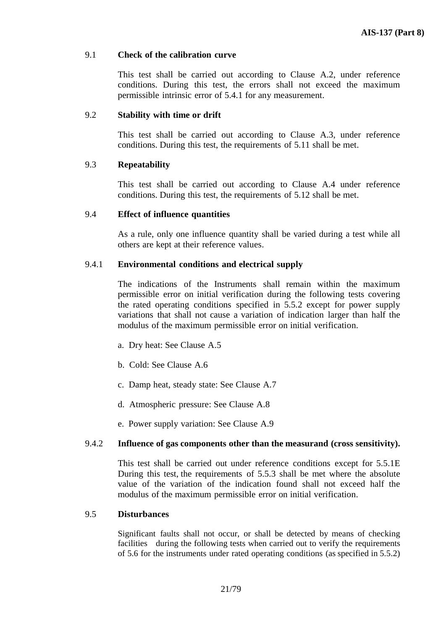#### 9.1 **Check of the calibration curve**

This test shall be carried out according to Clause A.2, under reference conditions. During this test, the errors shall not exceed the maximum permissible intrinsic error of 5.4.1 for any measurement.

#### 9.2 **Stability with time or drift**

This test shall be carried out according to Clause A.3, under reference conditions. During this test, the requirements of 5.11 shall be met.

## 9.3 **Repeatability**

This test shall be carried out according to Clause A.4 under reference conditions. During this test, the requirements of 5.12 shall be met.

#### 9.4 **Effect of influence quantities**

As a rule, only one influence quantity shall be varied during a test while all others are kept at their reference values.

#### 9.4.1 **Environmental conditions and electrical supply**

The indications of the Instruments shall remain within the maximum permissible error on initial verification during the following tests covering the rated operating conditions specified in 5.5.2 except for power supply variations that shall not cause a variation of indication larger than half the modulus of the maximum permissible error on initial verification.

- a. Dry heat: See Clause A.5
- b. Cold: See Clause A.6
- c. Damp heat, steady state: See Clause A.7
- d. Atmospheric pressure: See Clause A.8
- e. Power supply variation: See Clause A.9

#### 9.4.2 **Influence of gas components other than the measurand (cross sensitivity).**

This test shall be carried out under reference conditions except for 5.5.1E During this test, the requirements of 5.5.3 shall be met where the absolute value of the variation of the indication found shall not exceed half the modulus of the maximum permissible error on initial verification.

#### 9.5 **Disturbances**

Significant faults shall not occur, or shall be detected by means of checking facilities during the following tests when carried out to verify the requirements of 5.6 for the instruments under rated operating conditions (as specified in 5.5.2)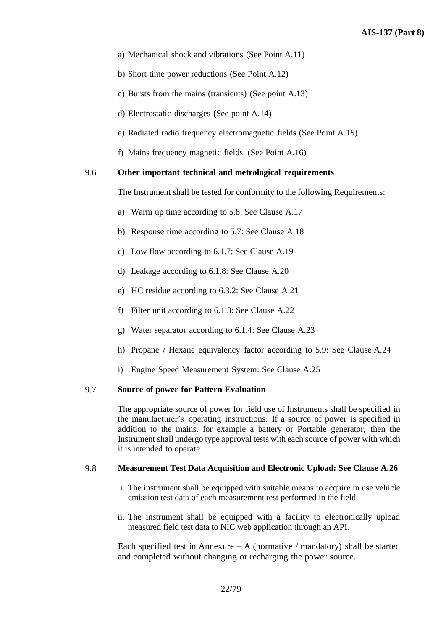- a) Mechanical shock and vibrations (See Point A.11)
- b) Short time power reductions (See Point A.12)
- c) Bursts from the mains (transients) (See point A.13)
- d) Electrostatic discharges (See point A.14)
- e) Radiated radio frequency electromagnetic fields (See Point A.15)
- f) Mains frequency magnetic fields. (See Point A.16)

#### 9.6 **Other important technical and metrological requirements**

The Instrument shall be tested for conformity to the following Requirements:

- a) Warm up time according to 5.8: See Clause A.17
- b) Response time according to 5.7: See Clause A.18
- c) Low flow according to 6.1.7: See Clause A.19
- d) Leakage according to 6.1.8: See Clause A.20
- e) HC residue according to 6.3.2: See Clause A.21
- f) Filter unit according to 6.1.3: See Clause A.22
- g) Water separator according to 6.1.4: See Clause A.23
- h) Propane / Hexane equivalency factor according to 5.9: See Clause A.24
- i) Engine Speed Measurement System: See Clause A.25

#### 9.7 **Source of power for Pattern Evaluation**

The appropriate source of power for field use of Instruments shall be specified in the manufacturer's operating instructions. If a source of power is specified in addition to the mains, for example a battery or Portable generator, then the Instrument shall undergo type approval tests with each source of power with which it is intended to operate

#### 9.8 **Measurement Test Data Acquisition and Electronic Upload: See Clause A.26**

- i. The instrument shall be equipped with suitable means to acquire in use vehicle emission test data of each measurement test performed in the field.
- ii. The instrument shall be equipped with a facility to electronically upload measured field test data to NIC web application through an API.

Each specified test in Annexure – A (normative / mandatory) shall be started and completed without changing or recharging the power source.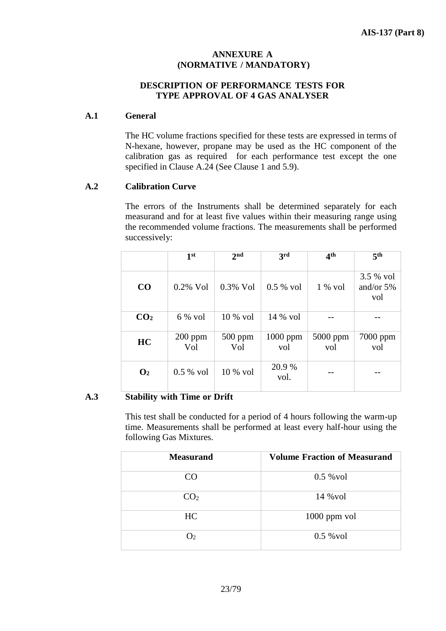# **ANNEXURE A (NORMATIVE / MANDATORY)**

# **DESCRIPTION OF PERFORMANCE TESTS FOR TYPE APPROVAL OF 4 GAS ANALYSER**

## **A.1 General**

The HC volume fractions specified for these tests are expressed in terms of N-hexane, however, propane may be used as the HC component of the calibration gas as required for each performance test except the one specified in Clause A.24 (See Clause 1 and 5.9).

# **A.2 Calibration Curve**

The errors of the Instruments shall be determined separately for each measurand and for at least five values within their measuring range using the recommended volume fractions. The measurements shall be performed successively:

|                 | 1 <sup>st</sup>  | 2 <sub>nd</sub>  | 3rd               | 4 <sup>th</sup> | 5 <sup>th</sup>                 |
|-----------------|------------------|------------------|-------------------|-----------------|---------------------------------|
| CO              | $0.2\%$ Vol      | $0.3\%$ Vol      | $0.5 %$ vol       | $1\%$ vol       | 3.5 % vol<br>and/or $5%$<br>vol |
| CO <sub>2</sub> | $6\%$ vol        | $10\%$ vol       | $14\%$ vol        |                 |                                 |
| HC              | $200$ ppm<br>Vol | $500$ ppm<br>Vol | $1000$ ppm<br>vol | 5000 ppm<br>vol | 7000 ppm<br>vol                 |
| $\mathbf{O}_2$  | $0.5 %$ vol      | $10\%$ vol       | 20.9 %<br>vol.    |                 |                                 |

## **A.3 Stability with Time or Drift**

This test shall be conducted for a period of 4 hours following the warm-up time. Measurements shall be performed at least every half-hour using the following Gas Mixtures.

| <b>Measurand</b>  | <b>Volume Fraction of Measurand</b> |
|-------------------|-------------------------------------|
| CO                | $0.5 \text{ %}$ vol                 |
| CO <sub>2</sub>   | 14 % vol                            |
| HC                | $1000$ ppm vol                      |
| $\mathcal{D}_{2}$ | $0.5 \text{ %}$ vol                 |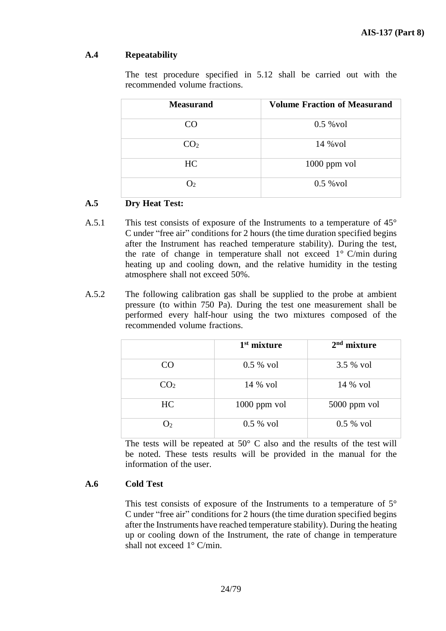# **A.4 Repeatability**

The test procedure specified in 5.12 shall be carried out with the recommended volume fractions.

| <b>Measurand</b> | <b>Volume Fraction of Measurand</b> |
|------------------|-------------------------------------|
| CO.              | $0.5 \text{ %}$ vol                 |
| CO <sub>2</sub>  | $14\%$ vol                          |
| HC               | $1000$ ppm vol                      |
| O2               | $0.5 \text{ %}$ vol                 |

# **A.5 Dry Heat Test:**

- A.5.1 This test consists of exposure of the Instruments to a temperature of 45° C under "free air" conditions for 2 hours (the time duration specified begins after the Instrument has reached temperature stability). During the test, the rate of change in temperature shall not exceed 1° C/min during heating up and cooling down, and the relative humidity in the testing atmosphere shall not exceed 50%.
- A.5.2 The following calibration gas shall be supplied to the probe at ambient pressure (to within 750 Pa). During the test one measurement shall be performed every half-hour using the two mixtures composed of the recommended volume fractions.

|                 | $1st$ mixture  | $2nd$ mixture  |
|-----------------|----------------|----------------|
| CO              | $0.5 %$ vol    | 3.5 % vol      |
| CO <sub>2</sub> | 14 % vol       | 14 % vol       |
| HC              | $1000$ ppm vol | $5000$ ppm vol |
| O <sub>2</sub>  | $0.5 %$ vol    | $0.5 %$ vol    |

The tests will be repeated at  $50^{\circ}$  C also and the results of the test will be noted. These tests results will be provided in the manual for the information of the user.

# **A.6 Cold Test**

This test consists of exposure of the Instruments to a temperature of  $5^\circ$ C under "free air" conditions for 2 hours (the time duration specified begins after the Instruments have reached temperature stability). During the heating up or cooling down of the Instrument, the rate of change in temperature shall not exceed 1° C/min.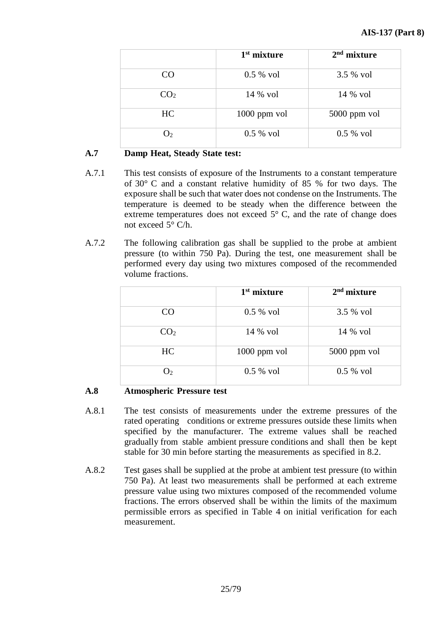|                 | $1st$ mixture  | $2nd$ mixture |
|-----------------|----------------|---------------|
| CO <sub>.</sub> | $0.5 %$ vol    | 3.5 % vol     |
| CO <sub>2</sub> | 14 % vol       | 14 % vol      |
| HC              | $1000$ ppm vol | 5000 ppm vol  |
| $\mathbf{D}$    | $0.5 %$ vol    | $0.5 %$ vol   |

# **A.7 Damp Heat, Steady State test:**

- A.7.1 This test consists of exposure of the Instruments to a constant temperature of 30° C and a constant relative humidity of 85 % for two days. The exposure shall be such that water does not condense on the Instruments. The temperature is deemed to be steady when the difference between the extreme temperatures does not exceed  $5^{\circ}$  C, and the rate of change does not exceed  $5^{\circ}$  C/h.
- A.7.2 The following calibration gas shall be supplied to the probe at ambient pressure (to within 750 Pa). During the test, one measurement shall be performed every day using two mixtures composed of the recommended volume fractions.

|                 | $1st$ mixture  | $2nd$ mixture |
|-----------------|----------------|---------------|
| CO              | $0.5 %$ vol    | 3.5 % vol     |
| CO <sub>2</sub> | 14 % vol       | 14 % vol      |
| HC              | $1000$ ppm vol | 5000 ppm vol  |
| $\mathrm{O}_2$  | $0.5 %$ vol    | $0.5 %$ vol   |

## **A.8 Atmospheric Pressure test**

- A.8.1 The test consists of measurements under the extreme pressures of the rated operating conditions or extreme pressures outside these limits when specified by the manufacturer. The extreme values shall be reached gradually from stable ambient pressure conditions and shall then be kept stable for 30 min before starting the measurements as specified in 8.2.
- A.8.2 Test gases shall be supplied at the probe at ambient test pressure (to within 750 Pa). At least two measurements shall be performed at each extreme pressure value using two mixtures composed of the recommended volume fractions. The errors observed shall be within the limits of the maximum permissible errors as specified in Table 4 on initial verification for each measurement.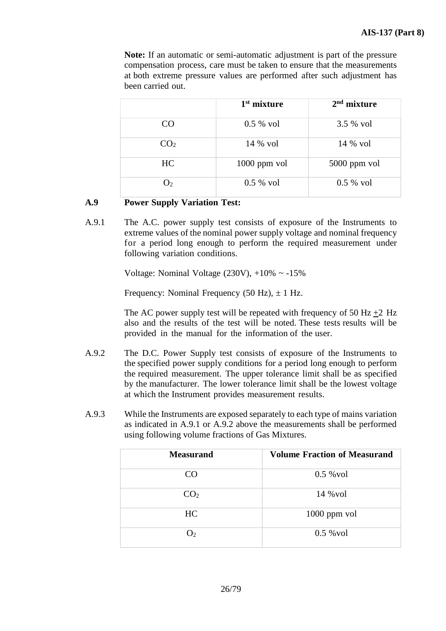**Note:** If an automatic or semi-automatic adjustment is part of the pressure compensation process, care must be taken to ensure that the measurements at both extreme pressure values are performed after such adjustment has been carried out.

|                 | $1st$ mixture  | $2nd$ mixture |
|-----------------|----------------|---------------|
| CO              | $0.5 %$ vol    | 3.5 % vol     |
| CO <sub>2</sub> | 14 % vol       | 14 % vol      |
| HC              | $1000$ ppm vol | 5000 ppm vol  |
| O <sub>2</sub>  | $0.5 %$ vol    | $0.5 %$ vol   |

# **A.9 Power Supply Variation Test:**

A.9.1 The A.C. power supply test consists of exposure of the Instruments to extreme values of the nominal power supply voltage and nominal frequency for a period long enough to perform the required measurement under following variation conditions.

Voltage: Nominal Voltage  $(230V)$ ,  $+10\% \sim -15\%$ 

Frequency: Nominal Frequency (50 Hz),  $\pm$  1 Hz.

The AC power supply test will be repeated with frequency of 50 Hz  $+2$  Hz also and the results of the test will be noted. These tests results will be provided in the manual for the information of the user.

- A.9.2 The D.C. Power Supply test consists of exposure of the Instruments to the specified power supply conditions for a period long enough to perform the required measurement. The upper tolerance limit shall be as specified by the manufacturer. The lower tolerance limit shall be the lowest voltage at which the Instrument provides measurement results.
- A.9.3 While the Instruments are exposed separately to each type of mains variation as indicated in A.9.1 or A.9.2 above the measurements shall be performed using following volume fractions of Gas Mixtures.

| <b>Measurand</b> | <b>Volume Fraction of Measurand</b> |
|------------------|-------------------------------------|
| CO.              | $0.5 \text{ %}$ vol                 |
| CO <sub>2</sub>  | 14 % vol                            |
| HC               | $1000$ ppm vol                      |
| $\mathbf{O}_2$   | $0.5 \text{ %}$ vol                 |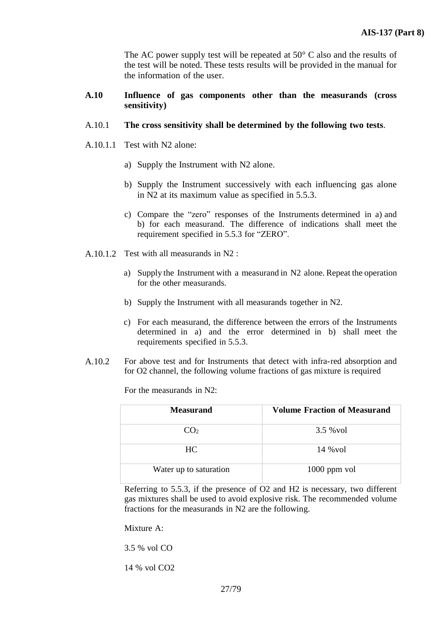The AC power supply test will be repeated at 50° C also and the results of the test will be noted. These tests results will be provided in the manual for the information of the user.

- **A.10 Influence of gas components other than the measurands (cross sensitivity)**
- A.10.1 **The cross sensitivity shall be determined by the following two tests**.
- A.10.1.1 Test with N2 alone:
	- a) Supply the Instrument with N2 alone.
	- b) Supply the Instrument successively with each influencing gas alone in N2 at its maximum value as specified in 5.5.3.
	- c) Compare the "zero" responses of the Instruments determined in a) and b) for each measurand. The difference of indications shall meet the requirement specified in 5.5.3 for "ZERO".
- A.10.1.2 Test with all measurands in N2 :
	- a) Supply the Instrument with a measurand in N2 alone. Repeat the operation for the other measurands.
	- b) Supply the Instrument with all measurands together in N2.
	- c) For each measurand, the difference between the errors of the Instruments determined in a) and the error determined in b) shall meet the requirements specified in 5.5.3.
- A.10.2 For above test and for Instruments that detect with infra-red absorption and for O2 channel, the following volume fractions of gas mixture is required

For the measurands in N2:

| Measurand              | <b>Volume Fraction of Measurand</b> |
|------------------------|-------------------------------------|
| CO <sub>2</sub>        | 3.5 % vol                           |
| HC.                    | 14 % vol                            |
| Water up to saturation | $1000$ ppm vol                      |

Referring to 5.5.3, if the presence of O2 and H2 is necessary, two different gas mixtures shall be used to avoid explosive risk. The recommended volume fractions for the measurands in N2 are the following.

Mixture A:

3.5 % vol CO

14 % vol CO2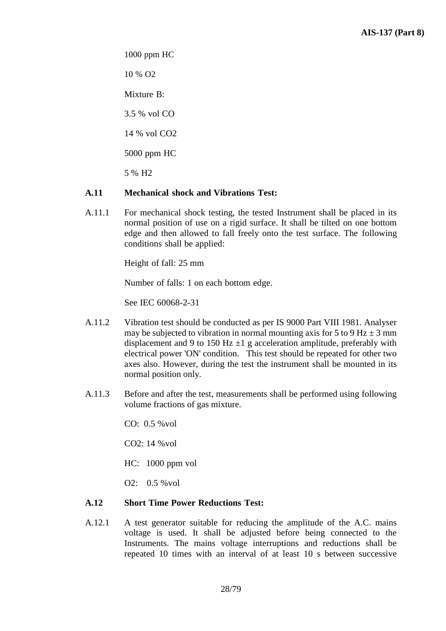1000 ppm HC

10 % O2

Mixture B:

3.5 % vol CO

14 % vol CO2

5000 ppm HC

5 % H2

# **A.11 Mechanical shock and Vibrations Test:**

A.11.1 For mechanical shock testing, the tested Instrument shall be placed in its normal position of use on a rigid surface. It shall be tilted on one bottom edge and then allowed to fall freely onto the test surface. The following conditions shall be applied:

Height of fall: 25 mm

Number of falls: 1 on each bottom edge.

See IEC 60068-2-31

- A.11.2 Vibration test should be conducted as per IS 9000 Part VIII 1981. Analyser may be subjected to vibration in normal mounting axis for 5 to 9 Hz  $\pm$  3 mm displacement and 9 to 150 Hz  $\pm 1$  g acceleration amplitude, preferably with electrical power 'ON' condition. This test should be repeated for other two axes also. However, during the test the instrument shall be mounted in its normal position only.
- A.11.3 Before and after the test, measurements shall be performed using following volume fractions of gas mixture.

CO: 0.5 %vol

CO2: 14 %vol

HC: 1000 ppm vol

O2: 0.5 %vol

## **A.12 Short Time Power Reductions Test:**

A.12.1 A test generator suitable for reducing the amplitude of the A.C. mains voltage is used. It shall be adjusted before being connected to the Instruments. The mains voltage interruptions and reductions shall be repeated 10 times with an interval of at least 10 s between successive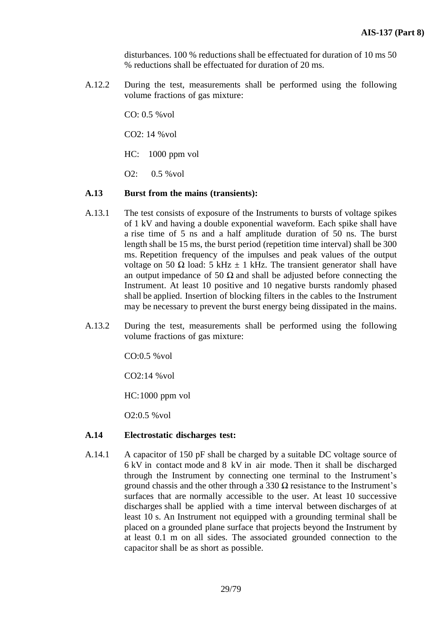disturbances. 100 % reductions shall be effectuated for duration of 10 ms 50 % reductions shall be effectuated for duration of 20 ms.

A.12.2 During the test, measurements shall be performed using the following volume fractions of gas mixture:

CO: 0.5 %vol

CO2: 14 %vol

HC: 1000 ppm vol

O2: 0.5 %vol

## **A.13 Burst from the mains (transients):**

- A.13.1 The test consists of exposure of the Instruments to bursts of voltage spikes of 1 kV and having a double exponential waveform. Each spike shall have a rise time of 5 ns and a half amplitude duration of 50 ns. The burst length shall be 15 ms, the burst period (repetition time interval) shall be 300 ms. Repetition frequency of the impulses and peak values of the output voltage on 50 Ω load: 5 kHz  $\pm$  1 kHz. The transient generator shall have an output impedance of 50  $\Omega$  and shall be adjusted before connecting the Instrument. At least 10 positive and 10 negative bursts randomly phased shall be applied. Insertion of blocking filters in the cables to the Instrument may be necessary to prevent the burst energy being dissipated in the mains.
- A.13.2 During the test, measurements shall be performed using the following volume fractions of gas mixture:

CO:0.5 %vol

CO2:14 %vol

HC:1000 ppm vol

O2:0.5 %vol

## **A.14 Electrostatic discharges test:**

A.14.1 A capacitor of 150 pF shall be charged by a suitable DC voltage source of 6 kV in contact mode and 8 kV in air mode. Then it shall be discharged through the Instrument by connecting one terminal to the Instrument's ground chassis and the other through a 330  $\Omega$  resistance to the Instrument's surfaces that are normally accessible to the user. At least 10 successive discharges shall be applied with a time interval between discharges of at least 10 s. An Instrument not equipped with a grounding terminal shall be placed on a grounded plane surface that projects beyond the Instrument by at least 0.1 m on all sides. The associated grounded connection to the capacitor shall be as short as possible.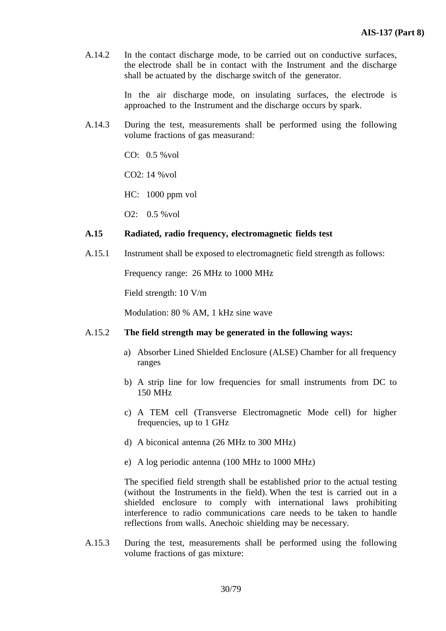A.14.2 In the contact discharge mode, to be carried out on conductive surfaces, the electrode shall be in contact with the Instrument and the discharge shall be actuated by the discharge switch of the generator.

> In the air discharge mode, on insulating surfaces, the electrode is approached to the Instrument and the discharge occurs by spark.

A.14.3 During the test, measurements shall be performed using the following volume fractions of gas measurand:

CO: 0.5 %vol

CO2: 14 %vol

HC: 1000 ppm vol

O2: 0.5 %vol

## **A.15 Radiated, radio frequency, electromagnetic fields test**

A.15.1 Instrument shall be exposed to electromagnetic field strength as follows:

Frequency range: 26 MHz to 1000 MHz

Field strength: 10 V/m

Modulation: 80 % AM, 1 kHz sine wave

#### A.15.2 **The field strength may be generated in the following ways:**

- a) Absorber Lined Shielded Enclosure (ALSE) Chamber for all frequency ranges
- b) A strip line for low frequencies for small instruments from DC to 150 MHz
- c) A TEM cell (Transverse Electromagnetic Mode cell) for higher frequencies, up to 1 GHz
- d) A biconical antenna (26 MHz to 300 MHz)
- e) A log periodic antenna (100 MHz to 1000 MHz)

The specified field strength shall be established prior to the actual testing (without the Instruments in the field). When the test is carried out in a shielded enclosure to comply with international laws prohibiting interference to radio communications care needs to be taken to handle reflections from walls. Anechoic shielding may be necessary.

A.15.3 During the test, measurements shall be performed using the following volume fractions of gas mixture: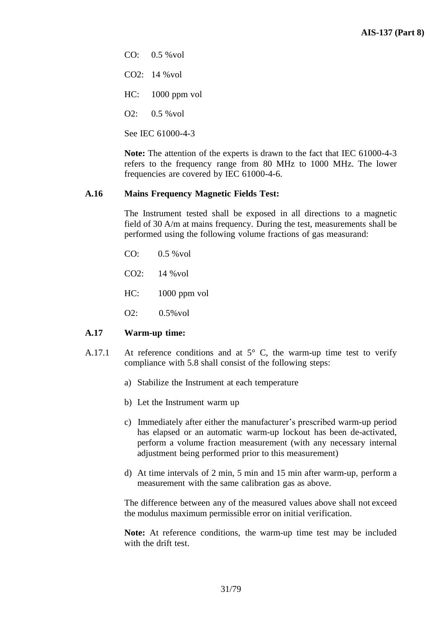$CO: 0.5 %$ vol

CO2: 14 %vol

HC: 1000 ppm vol

 $Q2: 0.5 %$  vol

See IEC 61000-4-3

**Note:** The attention of the experts is drawn to the fact that IEC 61000-4-3 refers to the frequency range from 80 MHz to 1000 MHz. The lower frequencies are covered by IEC 61000-4-6.

# **A.16 Mains Frequency Magnetic Fields Test:**

The Instrument tested shall be exposed in all directions to a magnetic field of 30 A/m at mains frequency. During the test, measurements shall be performed using the following volume fractions of gas measurand:

CO: 0.5 %vol

CO2: 14 %vol

HC: 1000 ppm vol

O2: 0.5%vol

## **A.17 Warm-up time:**

- A.17.1 At reference conditions and at  $5^{\circ}$  C, the warm-up time test to verify compliance with 5.8 shall consist of the following steps:
	- a) Stabilize the Instrument at each temperature
	- b) Let the Instrument warm up
	- c) Immediately after either the manufacturer's prescribed warm-up period has elapsed or an automatic warm-up lockout has been de-activated, perform a volume fraction measurement (with any necessary internal adjustment being performed prior to this measurement)
	- d) At time intervals of 2 min, 5 min and 15 min after warm-up, perform a measurement with the same calibration gas as above.

The difference between any of the measured values above shall not exceed the modulus maximum permissible error on initial verification.

**Note:** At reference conditions, the warm-up time test may be included with the drift test.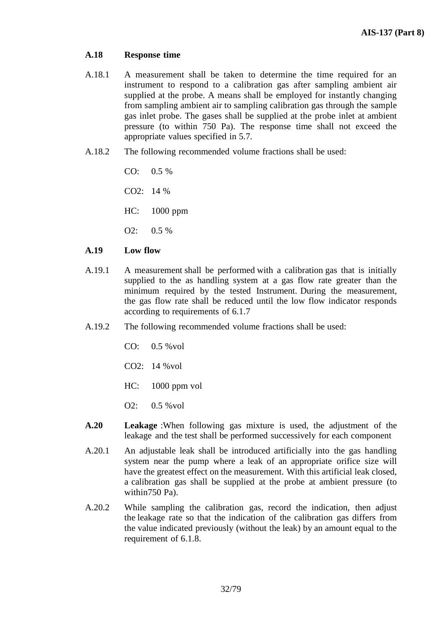## **A.18 Response time**

- A.18.1 A measurement shall be taken to determine the time required for an instrument to respond to a calibration gas after sampling ambient air supplied at the probe. A means shall be employed for instantly changing from sampling ambient air to sampling calibration gas through the sample gas inlet probe. The gases shall be supplied at the probe inlet at ambient pressure (to within 750 Pa). The response time shall not exceed the appropriate values specified in 5.7.
- A.18.2 The following recommended volume fractions shall be used:

 $CO: 0.5 %$ 

CO2: 14 %

HC: 1000 ppm

O2: 0.5 %

## **A.19 Low flow**

- A.19.1 A measurement shall be performed with a calibration gas that is initially supplied to the as handling system at a gas flow rate greater than the minimum required by the tested Instrument. During the measurement, the gas flow rate shall be reduced until the low flow indicator responds according to requirements of 6.1.7
- A.19.2 The following recommended volume fractions shall be used:

CO: 0.5 %vol

CO2: 14 %vol

HC: 1000 ppm vol

O2: 0.5 %vol

- **A.20 Leakage** :When following gas mixture is used, the adjustment of the leakage and the test shall be performed successively for each component
- A.20.1 An adjustable leak shall be introduced artificially into the gas handling system near the pump where a leak of an appropriate orifice size will have the greatest effect on the measurement. With this artificial leak closed, a calibration gas shall be supplied at the probe at ambient pressure (to within750 Pa).
- A.20.2 While sampling the calibration gas, record the indication, then adjust the leakage rate so that the indication of the calibration gas differs from the value indicated previously (without the leak) by an amount equal to the requirement of 6.1.8.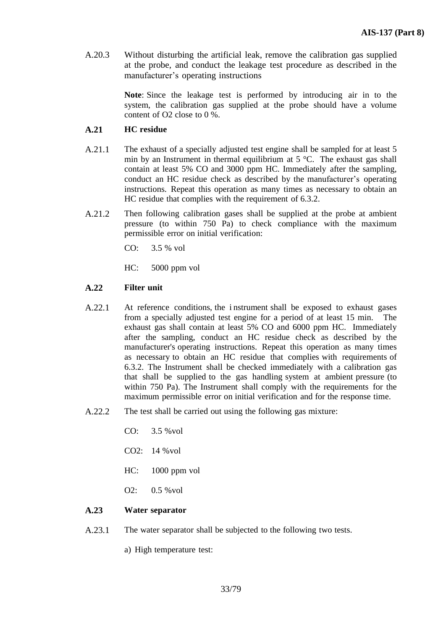A.20.3 Without disturbing the artificial leak, remove the calibration gas supplied at the probe, and conduct the leakage test procedure as described in the manufacturer's operating instructions

> **Note**: Since the leakage test is performed by introducing air in to the system, the calibration gas supplied at the probe should have a volume content of O2 close to 0 %.

#### **A.21 HC residue**

- A.21.1 The exhaust of a specially adjusted test engine shall be sampled for at least 5 min by an Instrument in thermal equilibrium at 5 °C. The exhaust gas shall contain at least 5% CO and 3000 ppm HC. Immediately after the sampling, conduct an HC residue check as described by the manufacturer's operating instructions. Repeat this operation as many times as necessary to obtain an HC residue that complies with the requirement of 6.3.2.
- A.21.2 Then following calibration gases shall be supplied at the probe at ambient pressure (to within 750 Pa) to check compliance with the maximum permissible error on initial verification:

CO: 3.5 % vol

HC: 5000 ppm vol

#### **A.22 Filter unit**

- A.22.1 At reference conditions, the i nstrument shall be exposed to exhaust gases from a specially adjusted test engine for a period of at least 15 min. The exhaust gas shall contain at least 5% CO and 6000 ppm HC. Immediately after the sampling, conduct an HC residue check as described by the manufacturer's operating instructions. Repeat this operation as many times as necessary to obtain an HC residue that complies with requirements of 6.3.2. The Instrument shall be checked immediately with a calibration gas that shall be supplied to the gas handling system at ambient pressure (to within 750 Pa). The Instrument shall comply with the requirements for the maximum permissible error on initial verification and for the response time.
- A.22.2 The test shall be carried out using the following gas mixture:
	- CO: 3.5 %vol
	- CO2: 14 %vol
	- HC: 1000 ppm vol
	- O2: 0.5 %vol

#### **A.23 Water separator**

- A.23.1 The water separator shall be subjected to the following two tests.
	- a) High temperature test: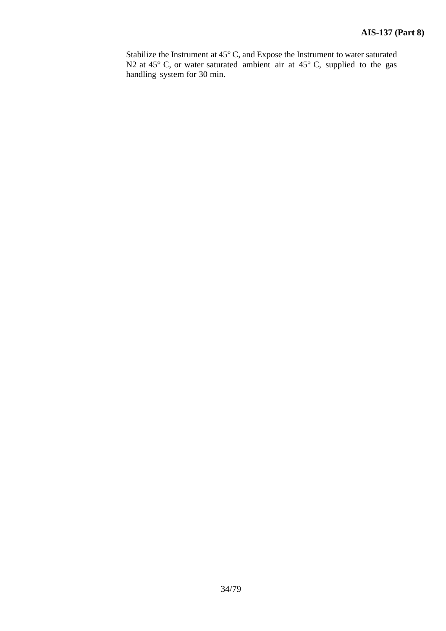Stabilize the Instrument at 45° C, and Expose the Instrument to water saturated N2 at 45 $\degree$  C, or water saturated ambient air at 45 $\degree$  C, supplied to the gas handling system for 30 min.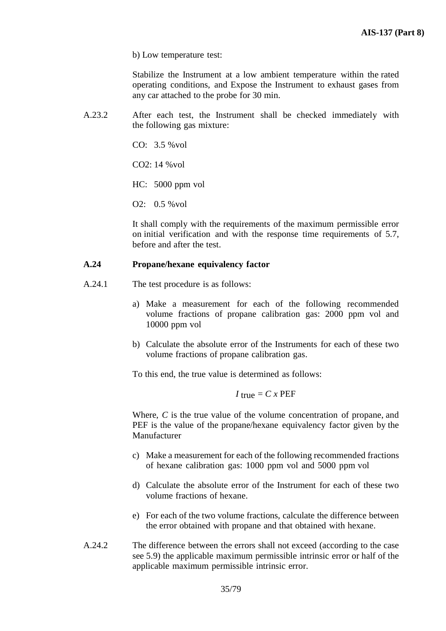b) Low temperature test:

Stabilize the Instrument at a low ambient temperature within the rated operating conditions, and Expose the Instrument to exhaust gases from any car attached to the probe for 30 min.

A.23.2 After each test, the Instrument shall be checked immediately with the following gas mixture:

CO: 3.5 %vol

 $CO2: 14 %$  vol

HC: 5000 ppm vol

O2: 0.5 %vol

It shall comply with the requirements of the maximum permissible error on initial verification and with the response time requirements of 5.7, before and after the test.

## **A.24 Propane/hexane equivalency factor**

- A.24.1 The test procedure is as follows:
	- a) Make a measurement for each of the following recommended volume fractions of propane calibration gas: 2000 ppm vol and 10000 ppm vol
	- b) Calculate the absolute error of the Instruments for each of these two volume fractions of propane calibration gas.

To this end, the true value is determined as follows:

 $I$  true =  $C x$  PEF

Where, *C* is the true value of the volume concentration of propane, and PEF is the value of the propane/hexane equivalency factor given by the Manufacturer

- c) Make a measurement for each of the following recommended fractions of hexane calibration gas: 1000 ppm vol and 5000 ppm vol
- d) Calculate the absolute error of the Instrument for each of these two volume fractions of hexane.
- e) For each of the two volume fractions, calculate the difference between the error obtained with propane and that obtained with hexane.
- A.24.2 The difference between the errors shall not exceed (according to the case see 5.9) the applicable maximum permissible intrinsic error or half of the applicable maximum permissible intrinsic error.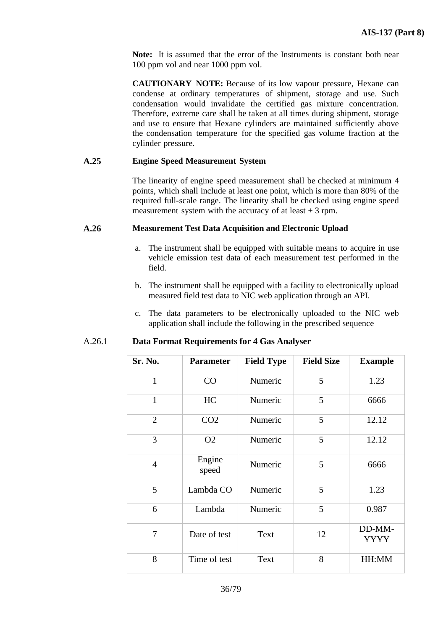**Note:** It is assumed that the error of the Instruments is constant both near 100 ppm vol and near 1000 ppm vol.

**CAUTIONARY NOTE:** Because of its low vapour pressure, Hexane can condense at ordinary temperatures of shipment, storage and use. Such condensation would invalidate the certified gas mixture concentration. Therefore, extreme care shall be taken at all times during shipment, storage and use to ensure that Hexane cylinders are maintained sufficiently above the condensation temperature for the specified gas volume fraction at the cylinder pressure.

#### **A.25 Engine Speed Measurement System**

The linearity of engine speed measurement shall be checked at minimum 4 points, which shall include at least one point, which is more than 80% of the required full-scale range. The linearity shall be checked using engine speed measurement system with the accuracy of at least  $\pm 3$  rpm.

#### **A.26 Measurement Test Data Acquisition and Electronic Upload**

- a. The instrument shall be equipped with suitable means to acquire in use vehicle emission test data of each measurement test performed in the field.
- b. The instrument shall be equipped with a facility to electronically upload measured field test data to NIC web application through an API.
- c. The data parameters to be electronically uploaded to the NIC web application shall include the following in the prescribed sequence

#### A.26.1 **Data Format Requirements for 4 Gas Analyser**

| Sr. No.        | <b>Parameter</b> | <b>Field Type</b> | <b>Field Size</b> | <b>Example</b>        |
|----------------|------------------|-------------------|-------------------|-----------------------|
| $\mathbf{1}$   | CO               | Numeric           | 5                 | 1.23                  |
| $\mathbf{1}$   | HC               | Numeric           | 5                 | 6666                  |
| $\overline{2}$ | CO <sub>2</sub>  | Numeric           | 5                 | 12.12                 |
| 3              | O <sub>2</sub>   | Numeric           | 5                 | 12.12                 |
| $\overline{4}$ | Engine<br>speed  | Numeric           | 5                 | 6666                  |
| 5              | Lambda CO        | Numeric           | 5                 | 1.23                  |
| 6              | Lambda           | Numeric           | 5                 | 0.987                 |
| 7              | Date of test     | Text              | 12                | DD-MM-<br><b>YYYY</b> |
| 8              | Time of test     | Text              | 8                 | HH:MM                 |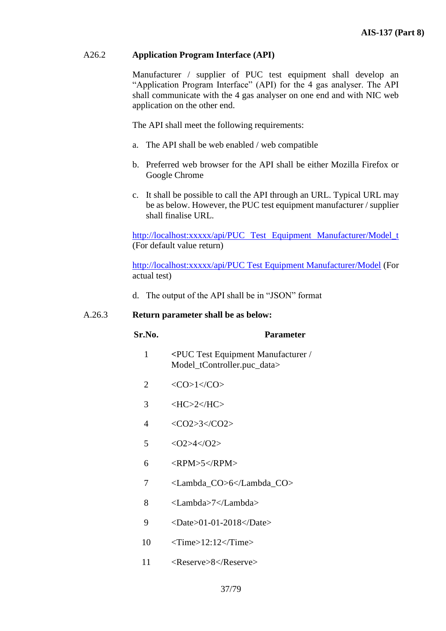# A26.2 **Application Program Interface (API)**

Manufacturer / supplier of PUC test equipment shall develop an "Application Program Interface" (API) for the 4 gas analyser. The API shall communicate with the 4 gas analyser on one end and with NIC web application on the other end.

The API shall meet the following requirements:

- a. The API shall be web enabled / web compatible
- b. Preferred web browser for the API shall be either Mozilla Firefox or Google Chrome
- c. It shall be possible to call the API through an URL. Typical URL may be as below. However, the PUC test equipment manufacturer / supplier shall finalise URL.

[http://localhost:xxxxx/api/PUC Test Equipment Manufacturer/Model\\_t](http://localhost:xxxxx/api/PUC%20Test%20Equipment%20Manufacturer/Model_t) (For default value return)

[http://localhost:xxxxx/api/PUC Test Equipment Manufacturer/Model](http://localhost:xxxxx/api/PUC%20Test%20Equipment%20Manufacturer/Model) (For actual test)

d. The output of the API shall be in "JSON" format

#### A.26.3 **Return parameter shall be as below:**

#### **Sr.No. Parameter**

- 1 **<**PUC Test Equipment Manufacturer / Model tController.puc data>
- 2  $\langle CO>1\langle CO>$
- $3 \left\langle \frac{\text{HC}}{2} \right\rangle$
- 4 <CO2>3</CO2>
- 5  $<\frac{O2>4}{O2}$
- $6 \leq RPM > 5 < RPM \geq 6$
- 7 <Lambda\_CO>6</Lambda\_CO>
- 8 <Lambda>7</Lambda>
- 9 <Date>01-01-2018</Date>
- 10 <Time>12:12</Time>
- 11 <Reserve>8</Reserve>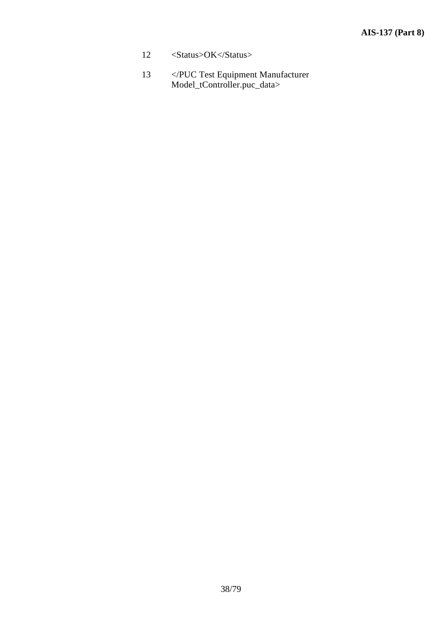- 12 <Status>OK</Status>
- 13 </PUC Test Equipment Manufacturer Model\_tController.puc\_data>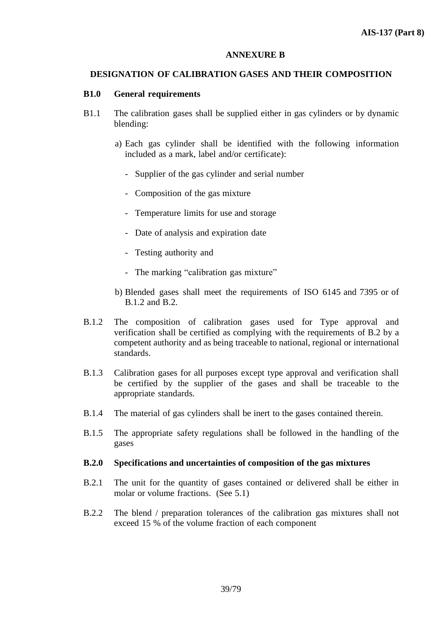#### **ANNEXURE B**

## **DESIGNATION OF CALIBRATION GASES AND THEIR COMPOSITION**

## **B1.0 General requirements**

- B1.1 The calibration gases shall be supplied either in gas cylinders or by dynamic blending:
	- a) Each gas cylinder shall be identified with the following information included as a mark, label and/or certificate):
		- Supplier of the gas cylinder and serial number
		- Composition of the gas mixture
		- Temperature limits for use and storage
		- Date of analysis and expiration date
		- Testing authority and
		- The marking "calibration gas mixture"
	- b) Blended gases shall meet the requirements of ISO 6145 and 7395 or of B.1.2 and B.2.
- B.1.2 The composition of calibration gases used for Type approval and verification shall be certified as complying with the requirements of B.2 by a competent authority and as being traceable to national, regional or international standards.
- B.1.3 Calibration gases for all purposes except type approval and verification shall be certified by the supplier of the gases and shall be traceable to the appropriate standards.
- B.1.4 The material of gas cylinders shall be inert to the gases contained therein.
- B.1.5 The appropriate safety regulations shall be followed in the handling of the gases

#### **B.2.0 Specifications and uncertainties of composition of the gas mixtures**

- B.2.1 The unit for the quantity of gases contained or delivered shall be either in molar or volume fractions. (See 5.1)
- B.2.2 The blend / preparation tolerances of the calibration gas mixtures shall not exceed 15 % of the volume fraction of each component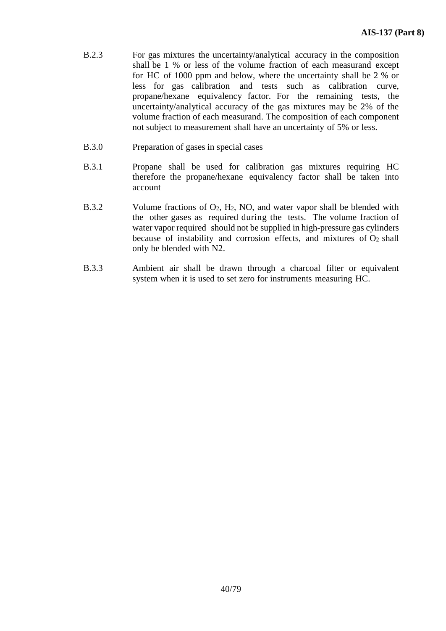- B.2.3 For gas mixtures the uncertainty/analytical accuracy in the composition shall be 1 % or less of the volume fraction of each measurand except for HC of 1000 ppm and below, where the uncertainty shall be 2 % or less for gas calibration and tests such as calibration curve, propane/hexane equivalency factor. For the remaining tests, the uncertainty/analytical accuracy of the gas mixtures may be 2% of the volume fraction of each measurand. The composition of each component not subject to measurement shall have an uncertainty of 5% or less.
- B.3.0 Preparation of gases in special cases
- B.3.1 Propane shall be used for calibration gas mixtures requiring HC therefore the propane/hexane equivalency factor shall be taken into account
- B.3.2 Volume fractions of  $O_2$ ,  $H_2$ , NO, and water vapor shall be blended with the other gases as required during the tests. The volume fraction of water vapor required should not be supplied in high-pressure gas cylinders because of instability and corrosion effects, and mixtures of  $O<sub>2</sub>$  shall only be blended with N2.
- B.3.3 Ambient air shall be drawn through a charcoal filter or equivalent system when it is used to set zero for instruments measuring HC.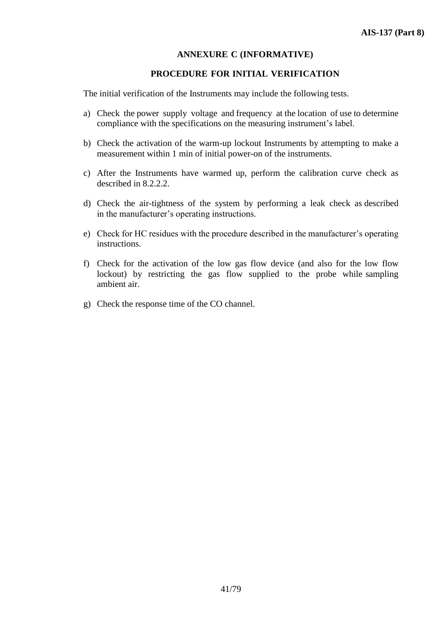# **ANNEXURE C (INFORMATIVE)**

## **PROCEDURE FOR INITIAL VERIFICATION**

The initial verification of the Instruments may include the following tests.

- a) Check the power supply voltage and frequency at the location of use to determine compliance with the specifications on the measuring instrument's label.
- b) Check the activation of the warm-up lockout Instruments by attempting to make a measurement within 1 min of initial power-on of the instruments.
- c) After the Instruments have warmed up, perform the calibration curve check as described in 8.2.2.2.
- d) Check the air-tightness of the system by performing a leak check as described in the manufacturer's operating instructions.
- e) Check for HC residues with the procedure described in the manufacturer's operating instructions.
- f) Check for the activation of the low gas flow device (and also for the low flow lockout) by restricting the gas flow supplied to the probe while sampling ambient air.
- g) Check the response time of the CO channel.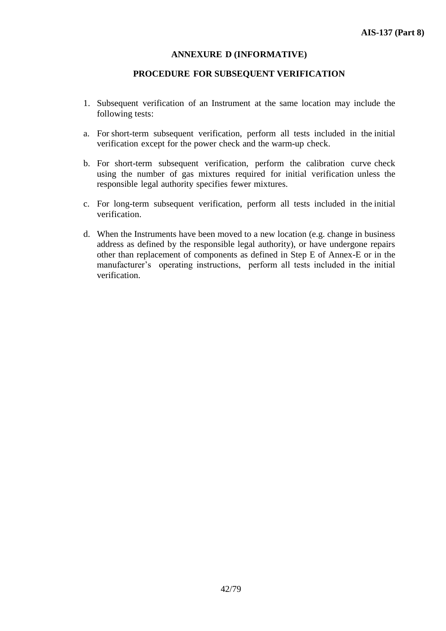## **ANNEXURE D (INFORMATIVE)**

## **PROCEDURE FOR SUBSEQUENT VERIFICATION**

- 1. Subsequent verification of an Instrument at the same location may include the following tests:
- a. For short-term subsequent verification, perform all tests included in the initial verification except for the power check and the warm-up check.
- b. For short-term subsequent verification, perform the calibration curve check using the number of gas mixtures required for initial verification unless the responsible legal authority specifies fewer mixtures.
- c. For long-term subsequent verification, perform all tests included in the initial verification.
- d. When the Instruments have been moved to a new location (e.g. change in business address as defined by the responsible legal authority), or have undergone repairs other than replacement of components as defined in Step E of Annex-E or in the manufacturer's operating instructions, perform all tests included in the initial verification.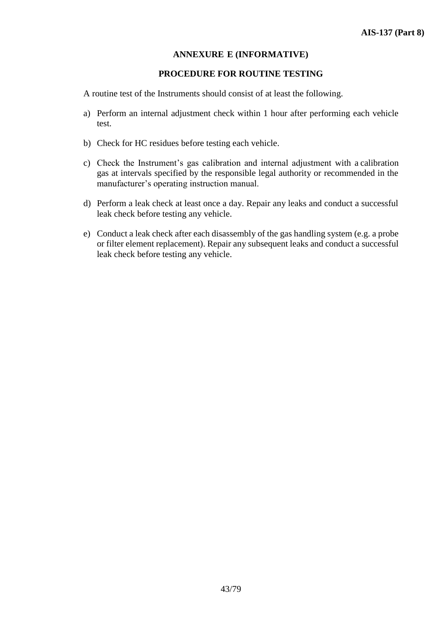# **ANNEXURE E (INFORMATIVE)**

## **PROCEDURE FOR ROUTINE TESTING**

A routine test of the Instruments should consist of at least the following.

- a) Perform an internal adjustment check within 1 hour after performing each vehicle test.
- b) Check for HC residues before testing each vehicle.
- c) Check the Instrument's gas calibration and internal adjustment with a calibration gas at intervals specified by the responsible legal authority or recommended in the manufacturer's operating instruction manual.
- d) Perform a leak check at least once a day. Repair any leaks and conduct a successful leak check before testing any vehicle.
- e) Conduct a leak check after each disassembly of the gas handling system (e.g. a probe or filter element replacement). Repair any subsequent leaks and conduct a successful leak check before testing any vehicle.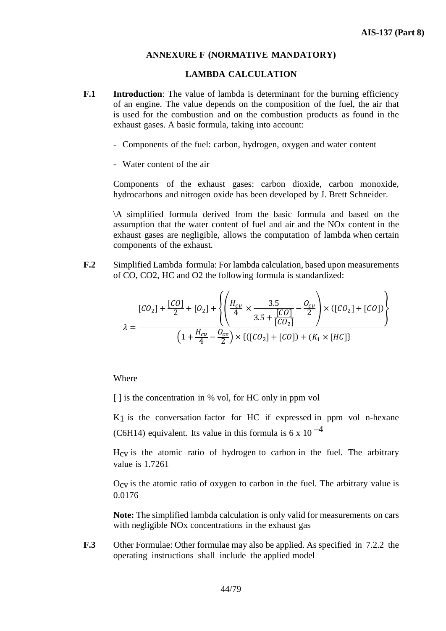## **ANNEXURE F (NORMATIVE MANDATORY)**

#### **LAMBDA CALCULATION**

- **F.1 Introduction**: The value of lambda is determinant for the burning efficiency of an engine. The value depends on the composition of the fuel, the air that is used for the combustion and on the combustion products as found in the exhaust gases. A basic formula, taking into account:
	- Components of the fuel: carbon, hydrogen, oxygen and water content
	- Water content of the air

Components of the exhaust gases: carbon dioxide, carbon monoxide, hydrocarbons and nitrogen oxide has been developed by J. Brett Schneider.

\A simplified formula derived from the basic formula and based on the assumption that the water content of fuel and air and the NOx content in the exhaust gases are negligible, allows the computation of lambda when certain components of the exhaust.

**F.2** Simplified Lambda formula: For lambda calculation, based upon measurements of CO, CO2, HC and O2 the following formula is standardized:

$$
[CO_2] + \frac{[CO]}{2} + [O_2] + \left\{ \left( \frac{H_{cv}}{4} \times \frac{3.5}{3.5 + \frac{[CO]}{[CO_2]}} - \frac{O_{cv}}{2} \right) \times ([CO_2] + [CO]) \right\}
$$
  

$$
\lambda = \frac{\left( 1 + \frac{H_{cv}}{4} - \frac{O_{cv}}{2} \right) \times \{ ([CO_2] + [CO]) + (K_1 \times [HC]) \}}{2}
$$

Where

[ ] is the concentration in % vol, for HC only in ppm vol

K1 is the conversation factor for HC if expressed in ppm vol n-hexane (C6H14) equivalent. Its value in this formula is 6 x 10 $^{-4}$ 

 $H_{CV}$  is the atomic ratio of hydrogen to carbon in the fuel. The arbitrary value is 1.7261

 $O_{CV}$  is the atomic ratio of oxygen to carbon in the fuel. The arbitrary value is 0.0176

**Note:** The simplified lambda calculation is only valid for measurements on cars with negligible NO<sub>x</sub> concentrations in the exhaust gas

**F.3** Other Formulae: Other formulae may also be applied. As specified in 7.2.2 the operating instructions shall include the applied model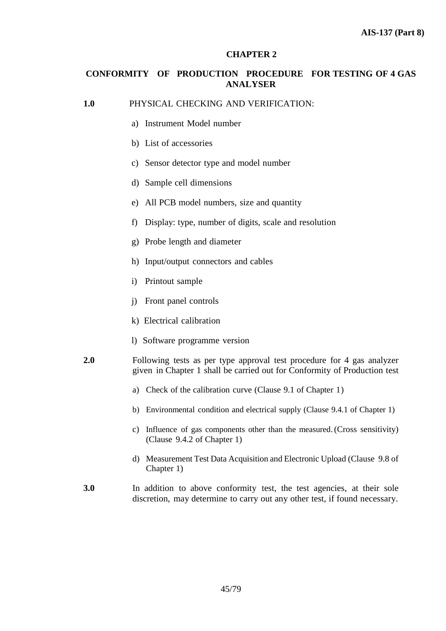# **CHAPTER 2**

# **CONFORMITY OF PRODUCTION PROCEDURE FOR TESTING OF 4 GAS ANALYSER**

**1.0** PHYSICAL CHECKING AND VERIFICATION:

- a) Instrument Model number
- b) List of accessories
- c) Sensor detector type and model number
- d) Sample cell dimensions
- e) All PCB model numbers, size and quantity
- f) Display: type, number of digits, scale and resolution
- g) Probe length and diameter
- h) Input/output connectors and cables
- i) Printout sample
- j) Front panel controls
- k) Electrical calibration
- l) Software programme version
- **2.0** Following tests as per type approval test procedure for 4 gas analyzer given in Chapter 1 shall be carried out for Conformity of Production test
	- a) Check of the calibration curve (Clause 9.1 of Chapter 1)
	- b) Environmental condition and electrical supply (Clause 9.4.1 of Chapter 1)
	- c) Influence of gas components other than the measured.(Cross sensitivity) (Clause 9.4.2 of Chapter 1)
	- d) Measurement Test Data Acquisition and Electronic Upload (Clause 9.8 of Chapter 1)
- **3.0** In addition to above conformity test, the test agencies, at their sole discretion, may determine to carry out any other test, if found necessary.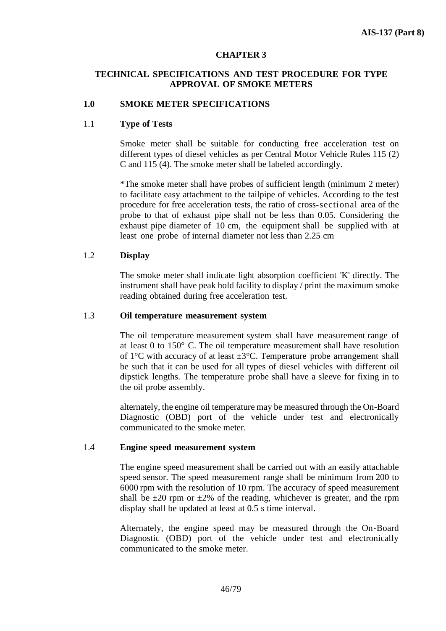## **CHAPTER 3**

# **TECHNICAL SPECIFICATIONS AND TEST PROCEDURE FOR TYPE APPROVAL OF SMOKE METERS**

## **1.0 SMOKE METER SPECIFICATIONS**

#### 1.1 **Type of Tests**

Smoke meter shall be suitable for conducting free acceleration test on different types of diesel vehicles as per Central Motor Vehicle Rules 115 (2) C and 115 (4). The smoke meter shall be labeled accordingly.

\*The smoke meter shall have probes of sufficient length (minimum 2 meter) to facilitate easy attachment to the tailpipe of vehicles. According to the test procedure for free acceleration tests, the ratio of cross-sectional area of the probe to that of exhaust pipe shall not be less than 0.05. Considering the exhaust pipe diameter of 10 cm, the equipment shall be supplied with at least one probe of internal diameter not less than 2.25 cm

#### 1.2 **Display**

The smoke meter shall indicate light absorption coefficient 'K' directly. The instrument shall have peak hold facility to display / print the maximum smoke reading obtained during free acceleration test.

#### 1.3 **Oil temperature measurement system**

The oil temperature measurement system shall have measurement range of at least 0 to 150° C. The oil temperature measurement shall have resolution of  $1^{\circ}$ C with accuracy of at least  $\pm 3^{\circ}$ C. Temperature probe arrangement shall be such that it can be used for all types of diesel vehicles with different oil dipstick lengths. The temperature probe shall have a sleeve for fixing in to the oil probe assembly.

alternately, the engine oil temperature may be measured through the On-Board Diagnostic (OBD) port of the vehicle under test and electronically communicated to the smoke meter.

## 1.4 **Engine speed measurement system**

The engine speed measurement shall be carried out with an easily attachable speed sensor. The speed measurement range shall be minimum from 200 to 6000 rpm with the resolution of 10 rpm. The accuracy of speed measurement shall be  $\pm 20$  rpm or  $\pm 2\%$  of the reading, whichever is greater, and the rpm display shall be updated at least at 0.5 s time interval.

Alternately, the engine speed may be measured through the On-Board Diagnostic (OBD) port of the vehicle under test and electronically communicated to the smoke meter.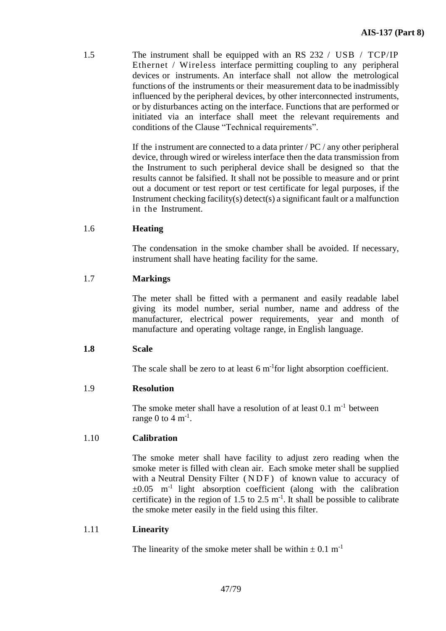1.5 The instrument shall be equipped with an RS 232 / USB / TCP/IP Ethernet / Wireless interface permitting coupling to any peripheral devices or instruments. An interface shall not allow the metrological functions of the instruments or their measurement data to be inadmissibly influenced by the peripheral devices, by other interconnected instruments, or by disturbances acting on the interface. Functions that are performed or initiated via an interface shall meet the relevant requirements and conditions of the Clause "Technical requirements".

> If the instrument are connected to a data printer / PC / any other peripheral device, through wired or wireless interface then the data transmission from the Instrument to such peripheral device shall be designed so that the results cannot be falsified. It shall not be possible to measure and or print out a document or test report or test certificate for legal purposes, if the Instrument checking facility(s) detect(s) a significant fault or a malfunction in the Instrument.

## 1.6 **Heating**

The condensation in the smoke chamber shall be avoided. If necessary, instrument shall have heating facility for the same.

## 1.7 **Markings**

The meter shall be fitted with a permanent and easily readable label giving its model number, serial number, name and address of the manufacturer, electrical power requirements, year and month of manufacture and operating voltage range, in English language.

## **1.8 Scale**

The scale shall be zero to at least  $6 \text{ m}$ <sup>-1</sup>for light absorption coefficient.

## 1.9 **Resolution**

The smoke meter shall have a resolution of at least  $0.1 \text{ m}^{-1}$  between range 0 to 4  $\mathrm{m}^{\text{-}1}$ .

## 1.10 **Calibration**

The smoke meter shall have facility to adjust zero reading when the smoke meter is filled with clean air. Each smoke meter shall be supplied with a Neutral Density Filter (NDF) of known value to accuracy of  $\pm 0.05$  m<sup>-1</sup> light absorption coefficient (along with the calibration certificate) in the region of 1.5 to 2.5  $m^{-1}$ . It shall be possible to calibrate the smoke meter easily in the field using this filter.

## 1.11 **Linearity**

The linearity of the smoke meter shall be within  $\pm$  0.1 m<sup>-1</sup>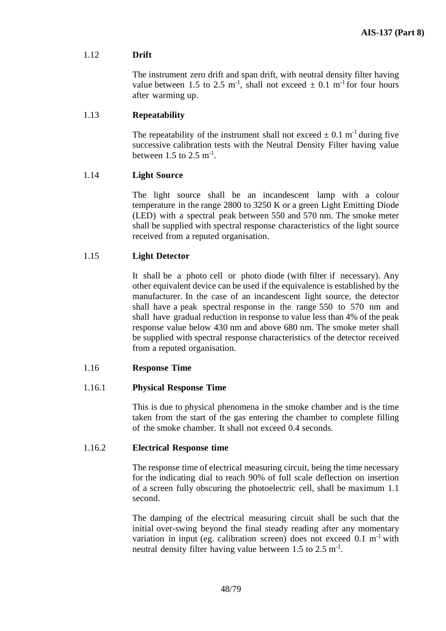# 1.12 **Drift**

The instrument zero drift and span drift, with neutral density filter having value between 1.5 to 2.5 m<sup>-1</sup>, shall not exceed  $\pm$  0.1 m<sup>-1</sup> for four hours after warming up.

## 1.13 **Repeatability**

The repeatability of the instrument shall not exceed  $\pm$  0.1 m<sup>-1</sup> during five successive calibration tests with the Neutral Density Filter having value between 1.5 to 2.5  $\text{m}^{\text{-}1}$ .

## 1.14 **Light Source**

The light source shall be an incandescent lamp with a colour temperature in the range 2800 to 3250 K or a green Light Emitting Diode (LED) with a spectral peak between 550 and 570 nm. The smoke meter shall be supplied with spectral response characteristics of the light source received from a reputed organisation.

#### 1.15 **Light Detector**

It shall be a photo cell or photo diode (with filter if necessary). Any other equivalent device can be used if the equivalence is established by the manufacturer. In the case of an incandescent light source, the detector shall have a peak spectral response in the range 550 to 570 nm and shall have gradual reduction in response to value less than 4% of the peak response value below 430 nm and above 680 nm. The smoke meter shall be supplied with spectral response characteristics of the detector received from a reputed organisation.

#### 1.16 **Response Time**

## 1.16.1 **Physical Response Time**

This is due to physical phenomena in the smoke chamber and is the time taken from the start of the gas entering the chamber to complete filling of the smoke chamber. It shall not exceed 0.4 seconds.

#### 1.16.2 **Electrical Response time**

The response time of electrical measuring circuit, being the time necessary for the indicating dial to reach 90% of full scale deflection on insertion of a screen fully obscuring the photoelectric cell, shall be maximum 1.1 second.

The damping of the electrical measuring circuit shall be such that the initial over-swing beyond the final steady reading after any momentary variation in input (eg. calibration screen) does not exceed  $0.1 \text{ m}^{-1}$  with neutral density filter having value between  $1.5$  to  $2.5$  m<sup>-1</sup>.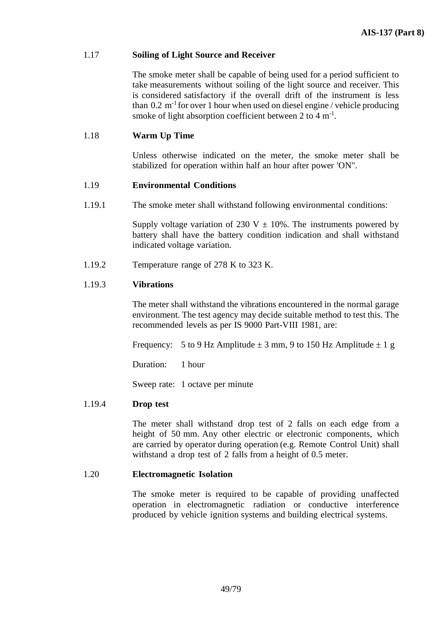## 1.17 **Soiling of Light Source and Receiver**

The smoke meter shall be capable of being used for a period sufficient to take measurements without soiling of the light source and receiver. This is considered satisfactory if the overall drift of the instrument is less than  $0.2 \text{ m}^{-1}$  for over 1 hour when used on diesel engine / vehicle producing smoke of light absorption coefficient between 2 to 4  $m^{-1}$ .

## 1.18 **Warm Up Time**

Unless otherwise indicated on the meter, the smoke meter shall be stabilized for operation within half an hour after power 'ON".

## 1.19 **Environmental Conditions**

1.19.1 The smoke meter shall withstand following environmental conditions:

Supply voltage variation of 230 V  $\pm$  10%. The instruments powered by battery shall have the battery condition indication and shall withstand indicated voltage variation.

1.19.2 Temperature range of 278 K to 323 K.

#### 1.19.3 **Vibrations**

The meter shall withstand the vibrations encountered in the normal garage environment. The test agency may decide suitable method to test this. The recommended levels as per IS 9000 Part-VIII 1981, are:

Frequency: 5 to 9 Hz Amplitude  $\pm$  3 mm, 9 to 150 Hz Amplitude  $\pm$  1 g

Duration: 1 hour

Sweep rate: 1 octave per minute

## 1.19.4 **Drop test**

The meter shall withstand drop test of 2 falls on each edge from a height of 50 mm. Any other electric or electronic components, which are carried by operator during operation (e.g. Remote Control Unit) shall withstand a drop test of 2 falls from a height of 0.5 meter.

#### 1.20 **Electromagnetic Isolation**

The smoke meter is required to be capable of providing unaffected operation in electromagnetic radiation or conductive interference produced by vehicle ignition systems and building electrical systems.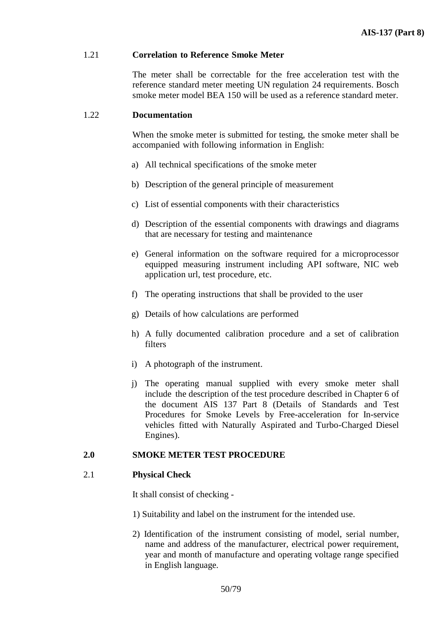#### 1.21 **Correlation to Reference Smoke Meter**

The meter shall be correctable for the free acceleration test with the reference standard meter meeting UN regulation 24 requirements. Bosch smoke meter model BEA 150 will be used as a reference standard meter.

#### 1.22 **Documentation**

When the smoke meter is submitted for testing, the smoke meter shall be accompanied with following information in English:

- a) All technical specifications of the smoke meter
- b) Description of the general principle of measurement
- c) List of essential components with their characteristics
- d) Description of the essential components with drawings and diagrams that are necessary for testing and maintenance
- e) General information on the software required for a microprocessor equipped measuring instrument including API software, NIC web application url, test procedure, etc.
- f) The operating instructions that shall be provided to the user
- g) Details of how calculations are performed
- h) A fully documented calibration procedure and a set of calibration filters
- i) A photograph of the instrument.
- j) The operating manual supplied with every smoke meter shall include the description of the test procedure described in Chapter 6 of the document AIS 137 Part 8 (Details of Standards and Test Procedures for Smoke Levels by Free-acceleration for In-service vehicles fitted with Naturally Aspirated and Turbo-Charged Diesel Engines).

## **2.0 SMOKE METER TEST PROCEDURE**

## 2.1 **Physical Check**

It shall consist of checking -

- 1) Suitability and label on the instrument for the intended use.
- 2) Identification of the instrument consisting of model, serial number, name and address of the manufacturer, electrical power requirement, year and month of manufacture and operating voltage range specified in English language.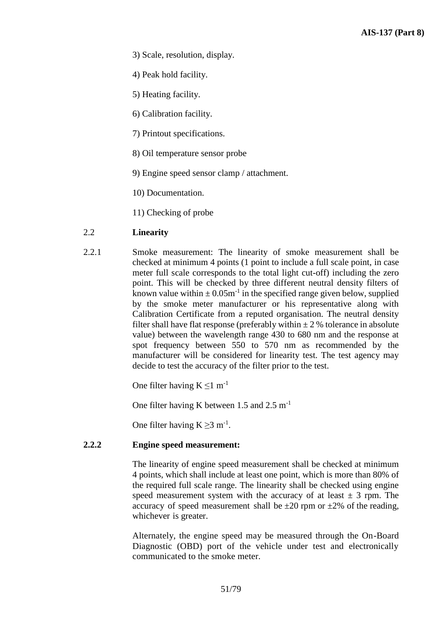- 3) Scale, resolution, display.
- 4) Peak hold facility.
- 5) Heating facility.
- 6) Calibration facility.
- 7) Printout specifications.
- 8) Oil temperature sensor probe
- 9) Engine speed sensor clamp / attachment.
- 10) Documentation.
- 11) Checking of probe

# 2.2 **Linearity**

2.2.1 Smoke measurement: The linearity of smoke measurement shall be checked at minimum 4 points (1 point to include a full scale point, in case meter full scale corresponds to the total light cut-off) including the zero point. This will be checked by three different neutral density filters of known value within  $\pm 0.05$ m<sup>-1</sup> in the specified range given below, supplied by the smoke meter manufacturer or his representative along with Calibration Certificate from a reputed organisation. The neutral density filter shall have flat response (preferably within  $\pm$  2 % tolerance in absolute value) between the wavelength range 430 to 680 nm and the response at spot frequency between 550 to 570 nm as recommended by the manufacturer will be considered for linearity test. The test agency may decide to test the accuracy of the filter prior to the test.

One filter having  $K \le 1$  m<sup>-1</sup>

One filter having K between 1.5 and 2.5 m<sup>-1</sup>

One filter having  $K \geq 3$  m<sup>-1</sup>.

## **2.2.2 Engine speed measurement:**

The linearity of engine speed measurement shall be checked at minimum 4 points, which shall include at least one point, which is more than 80% of the required full scale range. The linearity shall be checked using engine speed measurement system with the accuracy of at least  $\pm$  3 rpm. The accuracy of speed measurement shall be  $\pm 20$  rpm or  $\pm 2\%$  of the reading, whichever is greater.

Alternately, the engine speed may be measured through the On-Board Diagnostic (OBD) port of the vehicle under test and electronically communicated to the smoke meter.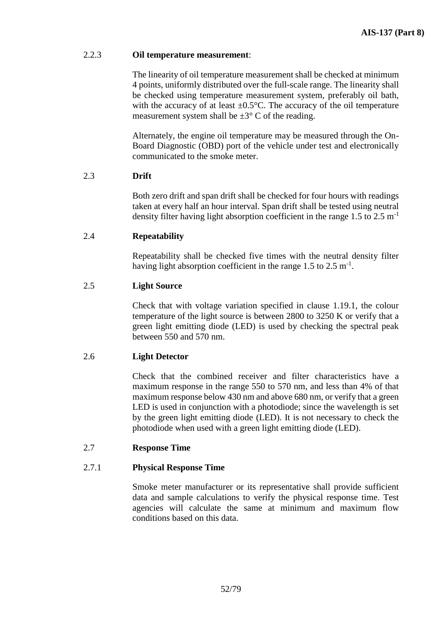# 2.2.3 **Oil temperature measurement**:

The linearity of oil temperature measurement shall be checked at minimum 4 points, uniformly distributed over the full-scale range. The linearity shall be checked using temperature measurement system, preferably oil bath, with the accuracy of at least  $\pm 0.5^{\circ}$ C. The accuracy of the oil temperature measurement system shall be  $\pm 3^{\circ}$  C of the reading.

Alternately, the engine oil temperature may be measured through the On-Board Diagnostic (OBD) port of the vehicle under test and electronically communicated to the smoke meter.

# 2.3 **Drift**

Both zero drift and span drift shall be checked for four hours with readings taken at every half an hour interval. Span drift shall be tested using neutral density filter having light absorption coefficient in the range 1.5 to 2.5 m<sup>-1</sup>

# 2.4 **Repeatability**

Repeatability shall be checked five times with the neutral density filter having light absorption coefficient in the range  $1.5$  to  $2.5$  m<sup>-1</sup>.

# 2.5 **Light Source**

Check that with voltage variation specified in clause 1.19.1, the colour temperature of the light source is between 2800 to 3250 K or verify that a green light emitting diode (LED) is used by checking the spectral peak between 550 and 570 nm.

# 2.6 **Light Detector**

Check that the combined receiver and filter characteristics have a maximum response in the range 550 to 570 nm, and less than 4% of that maximum response below 430 nm and above 680 nm, or verify that a green LED is used in conjunction with a photodiode; since the wavelength is set by the green light emitting diode (LED). It is not necessary to check the photodiode when used with a green light emitting diode (LED).

# 2.7 **Response Time**

# 2.7.1 **Physical Response Time**

Smoke meter manufacturer or its representative shall provide sufficient data and sample calculations to verify the physical response time. Test agencies will calculate the same at minimum and maximum flow conditions based on this data.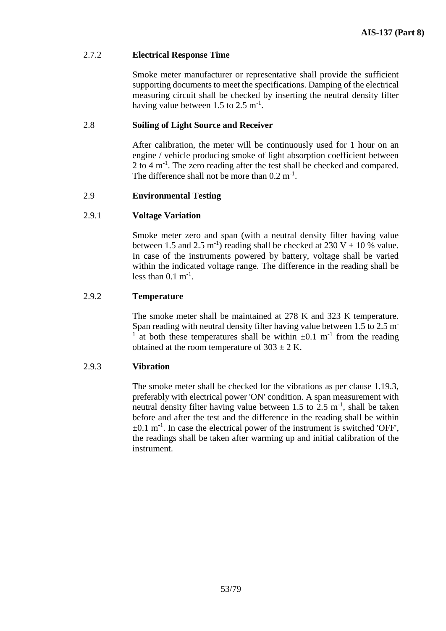## 2.7.2 **Electrical Response Time**

Smoke meter manufacturer or representative shall provide the sufficient supporting documents to meet the specifications. Damping of the electrical measuring circuit shall be checked by inserting the neutral density filter having value between  $1.5$  to  $2.5 \text{ m}^{-1}$ .

# 2.8 **Soiling of Light Source and Receiver**

After calibration, the meter will be continuously used for 1 hour on an engine / vehicle producing smoke of light absorption coefficient between 2 to 4 m<sup>-1</sup>. The zero reading after the test shall be checked and compared. The difference shall not be more than  $0.2 \text{ m}^{-1}$ .

# 2.9 **Environmental Testing**

## 2.9.1 **Voltage Variation**

Smoke meter zero and span (with a neutral density filter having value between 1.5 and 2.5 m<sup>-1</sup>) reading shall be checked at 230 V  $\pm$  10 % value. In case of the instruments powered by battery, voltage shall be varied within the indicated voltage range. The difference in the reading shall be less than  $0.1 \text{ m}^{-1}$ .

## 2.9.2 **Temperature**

The smoke meter shall be maintained at 278 K and 323 K temperature. Span reading with neutral density filter having value between 1.5 to 2.5 m<sup>-</sup> 1 at both these temperatures shall be within  $\pm 0.1$  m<sup>-1</sup> from the reading obtained at the room temperature of  $303 \pm 2$  K.

## 2.9.3 **Vibration**

The smoke meter shall be checked for the vibrations as per clause 1.19.3, preferably with electrical power 'ON' condition. A span measurement with neutral density filter having value between 1.5 to 2.5  $m^{-1}$ , shall be taken before and after the test and the difference in the reading shall be within  $\pm 0.1$  m<sup>-1</sup>. In case the electrical power of the instrument is switched 'OFF', the readings shall be taken after warming up and initial calibration of the instrument.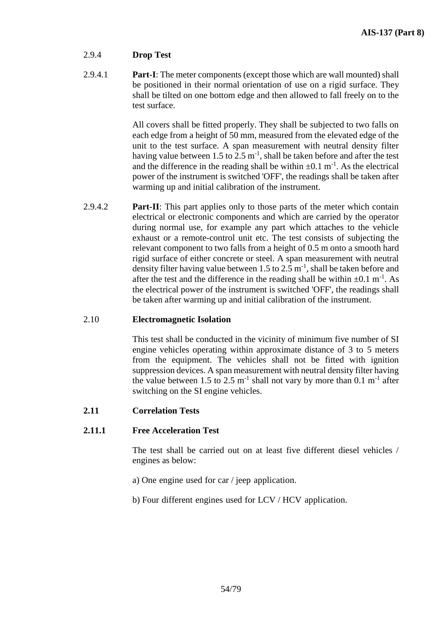# 2.9.4 **Drop Test**

2.9.4.1 **Part-I**: The meter components (except those which are wall mounted) shall be positioned in their normal orientation of use on a rigid surface. They shall be tilted on one bottom edge and then allowed to fall freely on to the test surface.

> All covers shall be fitted properly. They shall be subjected to two falls on each edge from a height of 50 mm, measured from the elevated edge of the unit to the test surface. A span measurement with neutral density filter having value between 1.5 to 2.5  $m^{-1}$ , shall be taken before and after the test and the difference in the reading shall be within  $\pm 0.1$  m<sup>-1</sup>. As the electrical power of the instrument is switched 'OFF', the readings shall be taken after warming up and initial calibration of the instrument.

2.9.4.2 **Part-II**: This part applies only to those parts of the meter which contain electrical or electronic components and which are carried by the operator during normal use, for example any part which attaches to the vehicle exhaust or a remote-control unit etc. The test consists of subjecting the relevant component to two falls from a height of 0.5 m onto a smooth hard rigid surface of either concrete or steel. A span measurement with neutral density filter having value between 1.5 to 2.5  $m^{-1}$ , shall be taken before and after the test and the difference in the reading shall be within  $\pm 0.1 \text{ m}^{-1}$ . As the electrical power of the instrument is switched 'OFF', the readings shall be taken after warming up and initial calibration of the instrument.

# 2.10 **Electromagnetic Isolation**

This test shall be conducted in the vicinity of minimum five number of SI engine vehicles operating within approximate distance of 3 to 5 meters from the equipment. The vehicles shall not be fitted with ignition suppression devices. A span measurement with neutral density filter having the value between 1.5 to 2.5  $m^{-1}$  shall not vary by more than 0.1  $m^{-1}$  after switching on the SI engine vehicles.

# **2.11 Correlation Tests**

# **2.11.1 Free Acceleration Test**

The test shall be carried out on at least five different diesel vehicles / engines as below:

- a) One engine used for car / jeep application.
- b) Four different engines used for LCV / HCV application.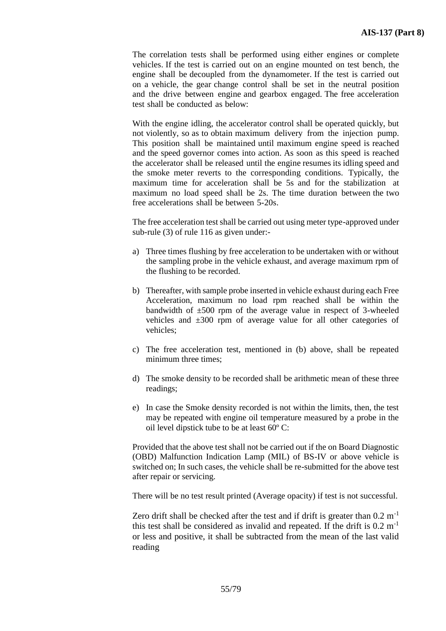The correlation tests shall be performed using either engines or complete vehicles. If the test is carried out on an engine mounted on test bench, the engine shall be decoupled from the dynamometer. If the test is carried out on a vehicle, the gear change control shall be set in the neutral position and the drive between engine and gearbox engaged. The free acceleration test shall be conducted as below:

With the engine idling, the accelerator control shall be operated quickly, but not violently, so as to obtain maximum delivery from the injection pump. This position shall be maintained until maximum engine speed is reached and the speed governor comes into action. As soon as this speed is reached the accelerator shall be released until the engine resumes its idling speed and the smoke meter reverts to the corresponding conditions. Typically, the maximum time for acceleration shall be 5s and for the stabilization at maximum no load speed shall be 2s. The time duration between the two free accelerations shall be between 5-20s.

The free acceleration test shall be carried out using meter type-approved under sub-rule (3) of rule 116 as given under:-

- a) Three times flushing by free acceleration to be undertaken with or without the sampling probe in the vehicle exhaust, and average maximum rpm of the flushing to be recorded.
- b) Thereafter, with sample probe inserted in vehicle exhaust during each Free Acceleration, maximum no load rpm reached shall be within the bandwidth of  $\pm 500$  rpm of the average value in respect of 3-wheeled vehicles and ±300 rpm of average value for all other categories of vehicles;
- c) The free acceleration test, mentioned in (b) above, shall be repeated minimum three times;
- d) The smoke density to be recorded shall be arithmetic mean of these three readings;
- e) In case the Smoke density recorded is not within the limits, then, the test may be repeated with engine oil temperature measured by a probe in the oil level dipstick tube to be at least 60º C:

Provided that the above test shall not be carried out if the on Board Diagnostic (OBD) Malfunction Indication Lamp (MIL) of BS-IV or above vehicle is switched on; In such cases, the vehicle shall be re-submitted for the above test after repair or servicing.

There will be no test result printed (Average opacity) if test is not successful.

Zero drift shall be checked after the test and if drift is greater than  $0.2 \text{ m}^{-1}$ this test shall be considered as invalid and repeated. If the drift is  $0.2 \text{ m}^{-1}$ or less and positive, it shall be subtracted from the mean of the last valid reading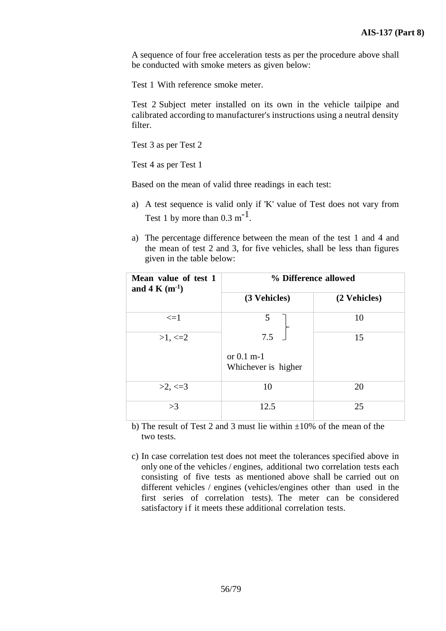A sequence of four free acceleration tests as per the procedure above shall be conducted with smoke meters as given below:

Test 1 With reference smoke meter.

Test 2 Subject meter installed on its own in the vehicle tailpipe and calibrated according to manufacturer's instructions using a neutral density filter.

Test 3 as per Test 2

Test 4 as per Test 1

Based on the mean of valid three readings in each test:

- a) A test sequence is valid only if 'K' value of Test does not vary from Test 1 by more than  $0.3 \text{ m}^{-1}$ .
- a) The percentage difference between the mean of the test 1 and 4 and the mean of test 2 and 3, for five vehicles, shall be less than figures given in the table below:

| Mean value of test 1<br>and 4 K $(m^{-1})$ | % Difference allowed                |              |  |
|--------------------------------------------|-------------------------------------|--------------|--|
|                                            | (3 Vehicles)                        | (2 Vehicles) |  |
| $\leq$ $=$ $1$                             | 5                                   | 10           |  |
| $>1, \leq 2$                               | 7.5                                 | 15           |  |
|                                            | or $0.1$ m-1<br>Whichever is higher |              |  |
| $>2, \leq 3$                               | 10                                  | 20           |  |
| >3                                         | 12.5                                | 25           |  |

b) The result of Test 2 and 3 must lie within  $\pm 10\%$  of the mean of the two tests.

c) In case correlation test does not meet the tolerances specified above in only one of the vehicles / engines, additional two correlation tests each consisting of five tests as mentioned above shall be carried out on different vehicles / engines (vehicles/engines other than used in the first series of correlation tests). The meter can be considered satisfactory if it meets these additional correlation tests.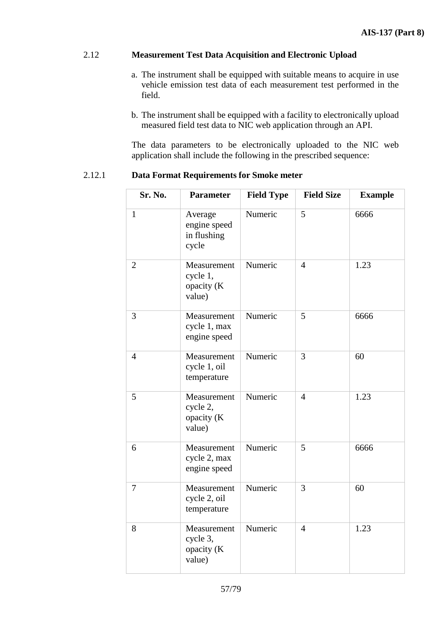# 2.12 **Measurement Test Data Acquisition and Electronic Upload**

- a. The instrument shall be equipped with suitable means to acquire in use vehicle emission test data of each measurement test performed in the field.
- b. The instrument shall be equipped with a facility to electronically upload measured field test data to NIC web application through an API.

The data parameters to be electronically uploaded to the NIC web application shall include the following in the prescribed sequence:

2.12.1 **Data Format Requirements for Smoke meter**

| Sr. No.        | <b>Parameter</b>                                | <b>Field Type</b> | <b>Field Size</b> | <b>Example</b> |
|----------------|-------------------------------------------------|-------------------|-------------------|----------------|
| $\mathbf{1}$   | Average<br>engine speed<br>in flushing<br>cycle | Numeric           | 5                 | 6666           |
| $\overline{2}$ | Measurement<br>cycle 1,<br>opacity (K<br>value) | Numeric           | $\overline{4}$    | 1.23           |
| 3              | Measurement<br>cycle 1, max<br>engine speed     | Numeric           | 5                 | 6666           |
| $\overline{4}$ | Measurement<br>cycle 1, oil<br>temperature      | Numeric           | 3                 | 60             |
| 5              | Measurement<br>cycle 2,<br>opacity (K<br>value) | Numeric           | $\overline{4}$    | 1.23           |
| 6              | Measurement<br>cycle 2, max<br>engine speed     | Numeric           | 5                 | 6666           |
| 7              | Measurement<br>cycle 2, oil<br>temperature      | Numeric           | 3                 | 60             |
| 8              | Measurement<br>cycle 3,<br>opacity (K<br>value) | Numeric           | $\overline{4}$    | 1.23           |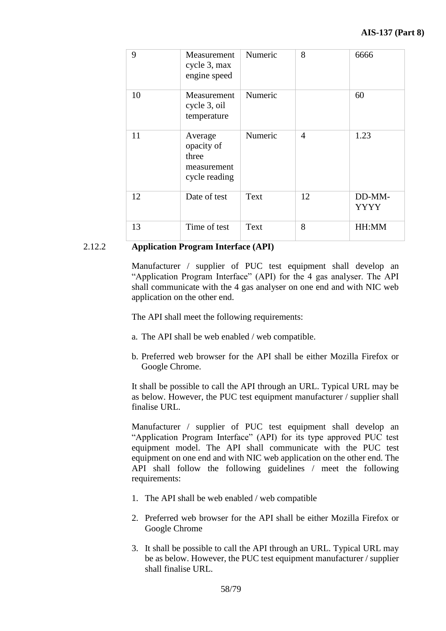| 9  | Measurement<br>cycle 3, max<br>engine speed                    | Numeric | 8                        | 6666                  |
|----|----------------------------------------------------------------|---------|--------------------------|-----------------------|
| 10 | Measurement<br>cycle 3, oil<br>temperature                     | Numeric |                          | 60                    |
| 11 | Average<br>opacity of<br>three<br>measurement<br>cycle reading | Numeric | $\overline{\mathcal{A}}$ | 1.23                  |
| 12 | Date of test                                                   | Text    | 12                       | DD-MM-<br><b>YYYY</b> |
| 13 | Time of test                                                   | Text    | 8                        | HH:MM                 |

## 2.12.2 **Application Program Interface (API)**

Manufacturer / supplier of PUC test equipment shall develop an "Application Program Interface" (API) for the 4 gas analyser. The API shall communicate with the 4 gas analyser on one end and with NIC web application on the other end.

The API shall meet the following requirements:

- a. The API shall be web enabled / web compatible.
- b. Preferred web browser for the API shall be either Mozilla Firefox or Google Chrome.

It shall be possible to call the API through an URL. Typical URL may be as below. However, the PUC test equipment manufacturer / supplier shall finalise URL.

Manufacturer / supplier of PUC test equipment shall develop an "Application Program Interface" (API) for its type approved PUC test equipment model. The API shall communicate with the PUC test equipment on one end and with NIC web application on the other end. The API shall follow the following guidelines / meet the following requirements:

- 1. The API shall be web enabled / web compatible
- 2. Preferred web browser for the API shall be either Mozilla Firefox or Google Chrome
- 3. It shall be possible to call the API through an URL. Typical URL may be as below. However, the PUC test equipment manufacturer / supplier shall finalise URL.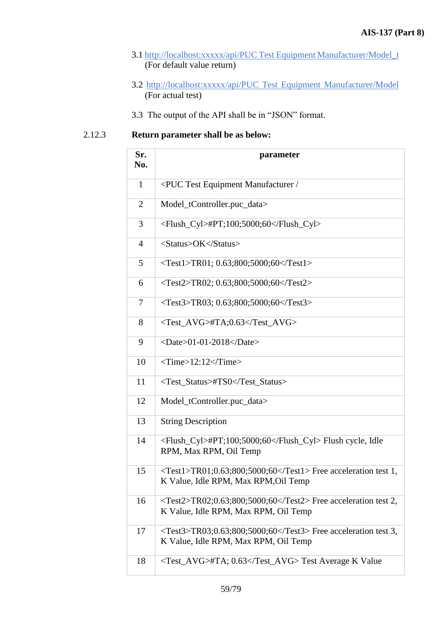- 3.1 http://localhost:xxxxx/api/PUC Test Equipment Manufacturer/Model\_t (For default value return)
- 3.2 http://localhost:xxxxx/api/PUC Test Equipment Manufacturer/Model (For actual test)
- 3.3 The output of the API shall be in "JSON" format.

# 2.12.3 **Return parameter shall be as below:**

| Sr.<br>No.     | parameter                                                                                                                     |
|----------------|-------------------------------------------------------------------------------------------------------------------------------|
| $\mathbf{1}$   | <puc <="" equipment="" manufacturer="" td="" test=""></puc>                                                                   |
| $\overline{2}$ | Model_tController.puc_data>                                                                                                   |
| 3              | <flush_cyl>#PT;100;5000;60</flush_cyl>                                                                                        |
| $\overline{4}$ | <status>OK</status>                                                                                                           |
| 5              | $\langle Test1 > TR01; 0.63; 800; 5000; 60 \langle Test1 >$                                                                   |
| 6              | $\langle Test2 > TR02; 0.63; 800; 5000; 60 \langle Test2 >$                                                                   |
| 7              | $\langle Test3 > TR03; 0.63; 800; 5000; 60 \langle Test3 >$                                                                   |
| 8              | <test_avg>#TA;0.63</test_avg>                                                                                                 |
| 9              | $<$ Date $>$ 01-01-2018 $<$ /Date $>$                                                                                         |
| 10             | $\le$ Time>12:12 $\le$ /Time>                                                                                                 |
| 11             | <test_status>#TS0</test_status>                                                                                               |
| 12             | Model_tController.puc_data>                                                                                                   |
| 13             | <b>String Description</b>                                                                                                     |
| 14             | <flush_cyl>#PT;100;5000;60</flush_cyl> Flush cycle, Idle<br>RPM, Max RPM, Oil Temp                                            |
| 15             | $\langle Test1 > TR01; 0.63; 800; 5000; 60 \langle Test1 > Free acceleration test 1,$<br>K Value, Idle RPM, Max RPM, Oil Temp |
| 16             | $\langle Test2 > TR02; 0.63; 800; 5000; 60 \langle Test2 > Free acceleration test 2,$<br>K Value, Idle RPM, Max RPM, Oil Temp |
| 17             | $\langle Test3 > TR03; 0.63; 800; 5000; 60 \langle Test3 > Free acceleration test 3,$<br>K Value, Idle RPM, Max RPM, Oil Temp |
| 18             | <test_avg>#TA; 0.63</test_avg> Test Average K Value                                                                           |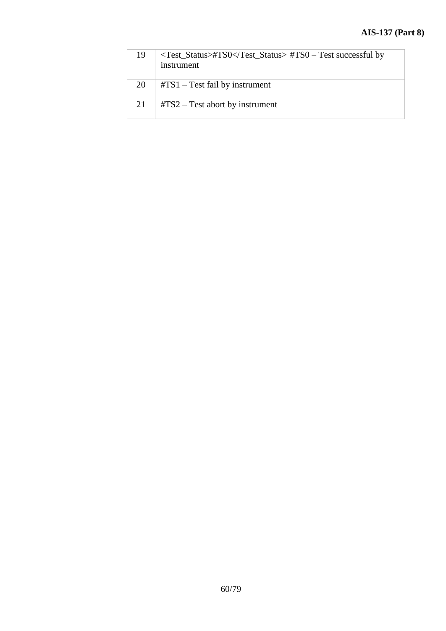| 19 | <test_status>#TS0</test_status> #TS0 - Test successful by<br>instrument |
|----|-------------------------------------------------------------------------|
| 20 | $\text{\#TS1}$ – Test fail by instrument                                |
| 21 | $\text{\#TS2}$ – Test abort by instrument                               |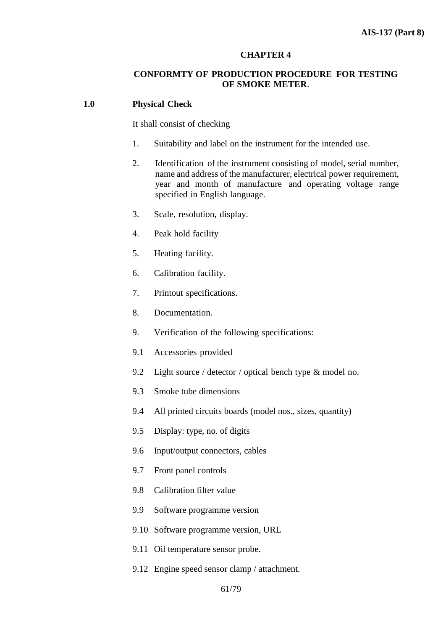#### **CHAPTER 4**

## **CONFORMTY OF PRODUCTION PROCEDURE FOR TESTING OF SMOKE METER**.

#### **1.0 Physical Check**

It shall consist of checking

- 1. Suitability and label on the instrument for the intended use.
- 2. Identification of the instrument consisting of model, serial number, name and address of the manufacturer, electrical power requirement, year and month of manufacture and operating voltage range specified in English language.
- 3. Scale, resolution, display.
- 4. Peak hold facility
- 5. Heating facility.
- 6. Calibration facility.
- 7. Printout specifications.
- 8. Documentation.
- 9. Verification of the following specifications:
- 9.1 Accessories provided
- 9.2 Light source / detector / optical bench type & model no.
- 9.3 Smoke tube dimensions
- 9.4 All printed circuits boards (model nos., sizes, quantity)
- 9.5 Display: type, no. of digits
- 9.6 Input/output connectors, cables
- 9.7 Front panel controls
- 9.8 Calibration filter value
- 9.9 Software programme version
- 9.10 Software programme version, URL
- 9.11 Oil temperature sensor probe.
- 9.12 Engine speed sensor clamp / attachment.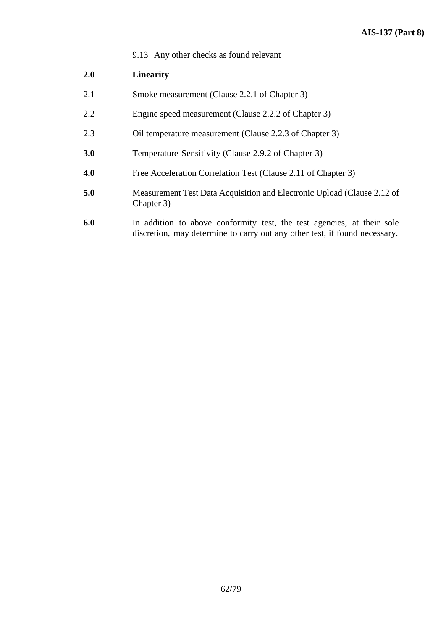9.13 Any other checks as found relevant

# **2.0 Linearity**

- 2.1 Smoke measurement (Clause 2.2.1 of Chapter 3)
- 2.2 Engine speed measurement (Clause 2.2.2 of Chapter 3)
- 2.3 Oil temperature measurement (Clause 2.2.3 of Chapter 3)
- **3.0** Temperature Sensitivity (Clause 2.9.2 of Chapter 3)
- **4.0** Free Acceleration Correlation Test (Clause 2.11 of Chapter 3)
- **5.0** Measurement Test Data Acquisition and Electronic Upload (Clause 2.12 of Chapter 3)
- **6.0** In addition to above conformity test, the test agencies, at their sole discretion, may determine to carry out any other test, if found necessary.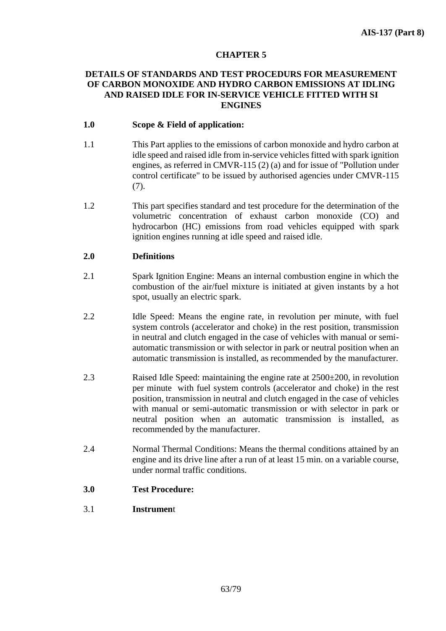## **CHAPTER 5**

## **DETAILS OF STANDARDS AND TEST PROCEDURS FOR MEASUREMENT OF CARBON MONOXIDE AND HYDRO CARBON EMISSIONS AT IDLING AND RAISED IDLE FOR IN-SERVICE VEHICLE FITTED WITH SI ENGINES**

## **1.0 Scope & Field of application:**

- 1.1 This Part applies to the emissions of carbon monoxide and hydro carbon at idle speed and raised idle from in-service vehicles fitted with spark ignition engines, as referred in CMVR-115 (2) (a) and for issue of "Pollution under control certificate" to be issued by authorised agencies under CMVR-115 (7).
- 1.2 This part specifies standard and test procedure for the determination of the volumetric concentration of exhaust carbon monoxide (CO) and hydrocarbon (HC) emissions from road vehicles equipped with spark ignition engines running at idle speed and raised idle.

## **2.0 Definitions**

- 2.1 Spark Ignition Engine: Means an internal combustion engine in which the combustion of the air/fuel mixture is initiated at given instants by a hot spot, usually an electric spark.
- 2.2 Idle Speed: Means the engine rate, in revolution per minute, with fuel system controls (accelerator and choke) in the rest position, transmission in neutral and clutch engaged in the case of vehicles with manual or semiautomatic transmission or with selector in park or neutral position when an automatic transmission is installed, as recommended by the manufacturer.
- 2.3 Raised Idle Speed: maintaining the engine rate at 2500±200, in revolution per minute with fuel system controls (accelerator and choke) in the rest position, transmission in neutral and clutch engaged in the case of vehicles with manual or semi-automatic transmission or with selector in park or neutral position when an automatic transmission is installed, as recommended by the manufacturer.
- 2.4 Normal Thermal Conditions: Means the thermal conditions attained by an engine and its drive line after a run of at least 15 min. on a variable course, under normal traffic conditions.
- **3.0 Test Procedure:**
- 3.1 **Instrumen**t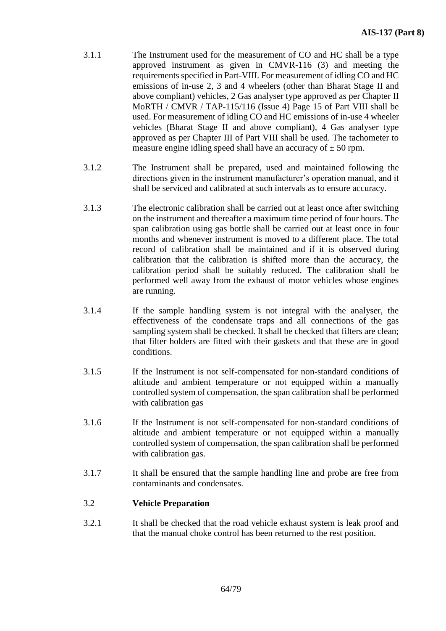- 3.1.1 The Instrument used for the measurement of CO and HC shall be a type approved instrument as given in CMVR-116 (3) and meeting the requirements specified in Part-VIII. For measurement of idling CO and HC emissions of in-use 2, 3 and 4 wheelers (other than Bharat Stage II and above compliant) vehicles, 2 Gas analyser type approved as per Chapter II MoRTH / CMVR / TAP-115/116 (Issue 4) Page 15 of Part VIII shall be used. For measurement of idling CO and HC emissions of in-use 4 wheeler vehicles (Bharat Stage II and above compliant), 4 Gas analyser type approved as per Chapter III of Part VIII shall be used. The tachometer to measure engine idling speed shall have an accuracy of  $\pm 50$  rpm.
- 3.1.2 The Instrument shall be prepared, used and maintained following the directions given in the instrument manufacturer's operation manual, and it shall be serviced and calibrated at such intervals as to ensure accuracy.
- 3.1.3 The electronic calibration shall be carried out at least once after switching on the instrument and thereafter a maximum time period of four hours. The span calibration using gas bottle shall be carried out at least once in four months and whenever instrument is moved to a different place. The total record of calibration shall be maintained and if it is observed during calibration that the calibration is shifted more than the accuracy, the calibration period shall be suitably reduced. The calibration shall be performed well away from the exhaust of motor vehicles whose engines are running.
- 3.1.4 If the sample handling system is not integral with the analyser, the effectiveness of the condensate traps and all connections of the gas sampling system shall be checked. It shall be checked that filters are clean; that filter holders are fitted with their gaskets and that these are in good conditions.
- 3.1.5 If the Instrument is not self-compensated for non-standard conditions of altitude and ambient temperature or not equipped within a manually controlled system of compensation, the span calibration shall be performed with calibration gas
- 3.1.6 If the Instrument is not self-compensated for non-standard conditions of altitude and ambient temperature or not equipped within a manually controlled system of compensation, the span calibration shall be performed with calibration gas.
- 3.1.7 It shall be ensured that the sample handling line and probe are free from contaminants and condensates.

# 3.2 **Vehicle Preparation**

3.2.1 It shall be checked that the road vehicle exhaust system is leak proof and that the manual choke control has been returned to the rest position.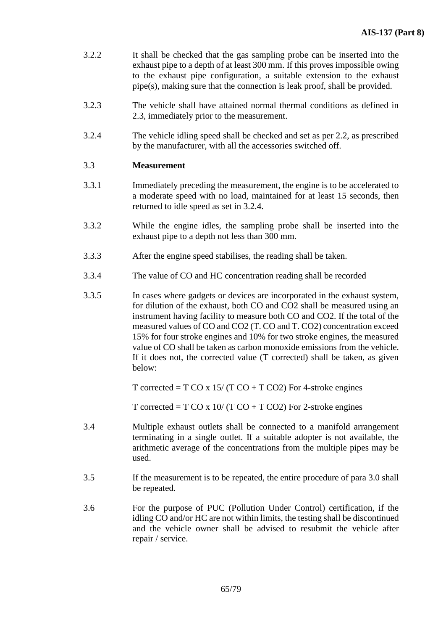- 3.2.2 It shall be checked that the gas sampling probe can be inserted into the exhaust pipe to a depth of at least 300 mm. If this proves impossible owing to the exhaust pipe configuration, a suitable extension to the exhaust pipe(s), making sure that the connection is leak proof, shall be provided.
- 3.2.3 The vehicle shall have attained normal thermal conditions as defined in 2.3, immediately prior to the measurement.
- 3.2.4 The vehicle idling speed shall be checked and set as per 2.2, as prescribed by the manufacturer, with all the accessories switched off.

## 3.3 **Measurement**

- 3.3.1 Immediately preceding the measurement, the engine is to be accelerated to a moderate speed with no load, maintained for at least 15 seconds, then returned to idle speed as set in 3.2.4.
- 3.3.2 While the engine idles, the sampling probe shall be inserted into the exhaust pipe to a depth not less than 300 mm.
- 3.3.3 After the engine speed stabilises, the reading shall be taken.
- 3.3.4 The value of CO and HC concentration reading shall be recorded
- 3.3.5 In cases where gadgets or devices are incorporated in the exhaust system, for dilution of the exhaust, both CO and CO2 shall be measured using an instrument having facility to measure both CO and CO2. If the total of the measured values of CO and CO2 (T. CO and T. CO2) concentration exceed 15% for four stroke engines and 10% for two stroke engines, the measured value of CO shall be taken as carbon monoxide emissions from the vehicle. If it does not, the corrected value (T corrected) shall be taken, as given below:

T corrected = T CO x  $15/(T \text{ CO} + T \text{ CO}2)$  For 4-stroke engines

T corrected = T CO x  $10/(T \text{ CO} + T \text{ CO}2)$  For 2-stroke engines

- 3.4 Multiple exhaust outlets shall be connected to a manifold arrangement terminating in a single outlet. If a suitable adopter is not available, the arithmetic average of the concentrations from the multiple pipes may be used.
- 3.5 If the measurement is to be repeated, the entire procedure of para 3.0 shall be repeated.
- 3.6 For the purpose of PUC (Pollution Under Control) certification, if the idling CO and/or HC are not within limits, the testing shall be discontinued and the vehicle owner shall be advised to resubmit the vehicle after repair / service.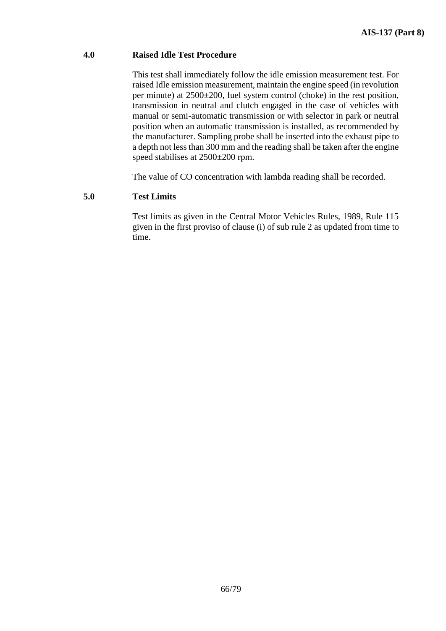## **4.0 Raised Idle Test Procedure**

This test shall immediately follow the idle emission measurement test. For raised Idle emission measurement, maintain the engine speed (in revolution per minute) at 2500±200, fuel system control (choke) in the rest position, transmission in neutral and clutch engaged in the case of vehicles with manual or semi-automatic transmission or with selector in park or neutral position when an automatic transmission is installed, as recommended by the manufacturer. Sampling probe shall be inserted into the exhaust pipe to a depth not less than 300 mm and the reading shall be taken after the engine speed stabilises at 2500±200 rpm.

The value of CO concentration with lambda reading shall be recorded.

# **5.0 Test Limits**

Test limits as given in the Central Motor Vehicles Rules, 1989, Rule 115 given in the first proviso of clause (i) of sub rule 2 as updated from time to time.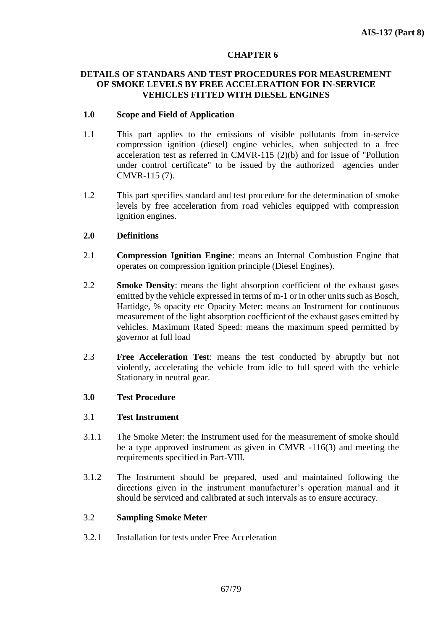## **CHAPTER 6**

## **DETAILS OF STANDARS AND TEST PROCEDURES FOR MEASUREMENT OF SMOKE LEVELS BY FREE ACCELERATION FOR IN-SERVICE VEHICLES FITTED WITH DIESEL ENGINES**

## **1.0 Scope and Field of Application**

- 1.1 This part applies to the emissions of visible pollutants from in-service compression ignition (diesel) engine vehicles, when subjected to a free acceleration test as referred in CMVR-115 (2)(b) and for issue of "Pollution under control certificate" to be issued by the authorized agencies under CMVR-115 (7).
- 1.2 This part specifies standard and test procedure for the determination of smoke levels by free acceleration from road vehicles equipped with compression ignition engines.

# **2.0 Definitions**

- 2.1 **Compression Ignition Engine**: means an Internal Combustion Engine that operates on compression ignition principle (Diesel Engines).
- 2.2 **Smoke Density**: means the light absorption coefficient of the exhaust gases emitted by the vehicle expressed in terms of m-1 or in other units such as Bosch, Hartidge, % opacity etc Opacity Meter: means an Instrument for continuous measurement of the light absorption coefficient of the exhaust gases emitted by vehicles. Maximum Rated Speed: means the maximum speed permitted by governor at full load
- 2.3 **Free Acceleration Test**: means the test conducted by abruptly but not violently, accelerating the vehicle from idle to full speed with the vehicle Stationary in neutral gear.

# **3.0 Test Procedure**

## 3.1 **Test Instrument**

- 3.1.1 The Smoke Meter: the Instrument used for the measurement of smoke should be a type approved instrument as given in CMVR -116(3) and meeting the requirements specified in Part-VIII.
- 3.1.2 The Instrument should be prepared, used and maintained following the directions given in the instrument manufacturer's operation manual and it should be serviced and calibrated at such intervals as to ensure accuracy.

## 3.2 **Sampling Smoke Meter**

3.2.1 Installation for tests under Free Acceleration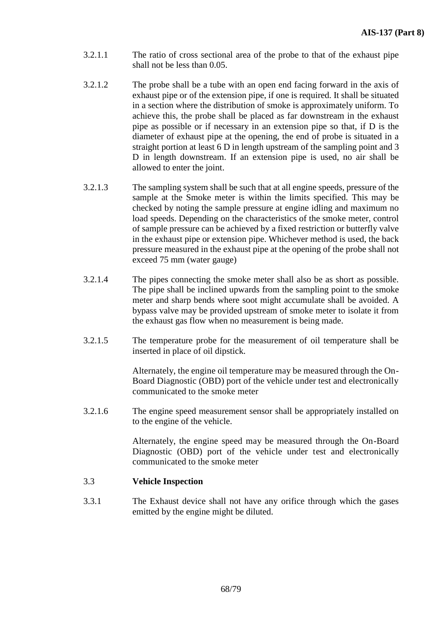- 3.2.1.1 The ratio of cross sectional area of the probe to that of the exhaust pipe shall not be less than 0.05.
- 3.2.1.2 The probe shall be a tube with an open end facing forward in the axis of exhaust pipe or of the extension pipe, if one is required. It shall be situated in a section where the distribution of smoke is approximately uniform. To achieve this, the probe shall be placed as far downstream in the exhaust pipe as possible or if necessary in an extension pipe so that, if D is the diameter of exhaust pipe at the opening, the end of probe is situated in a straight portion at least 6 D in length upstream of the sampling point and 3 D in length downstream. If an extension pipe is used, no air shall be allowed to enter the joint.
- 3.2.1.3 The sampling system shall be such that at all engine speeds, pressure of the sample at the Smoke meter is within the limits specified. This may be checked by noting the sample pressure at engine idling and maximum no load speeds. Depending on the characteristics of the smoke meter, control of sample pressure can be achieved by a fixed restriction or butterfly valve in the exhaust pipe or extension pipe. Whichever method is used, the back pressure measured in the exhaust pipe at the opening of the probe shall not exceed 75 mm (water gauge)
- 3.2.1.4 The pipes connecting the smoke meter shall also be as short as possible. The pipe shall be inclined upwards from the sampling point to the smoke meter and sharp bends where soot might accumulate shall be avoided. A bypass valve may be provided upstream of smoke meter to isolate it from the exhaust gas flow when no measurement is being made.
- 3.2.1.5 The temperature probe for the measurement of oil temperature shall be inserted in place of oil dipstick.

Alternately, the engine oil temperature may be measured through the On-Board Diagnostic (OBD) port of the vehicle under test and electronically communicated to the smoke meter

3.2.1.6 The engine speed measurement sensor shall be appropriately installed on to the engine of the vehicle.

> Alternately, the engine speed may be measured through the On-Board Diagnostic (OBD) port of the vehicle under test and electronically communicated to the smoke meter

## 3.3 **Vehicle Inspection**

3.3.1 The Exhaust device shall not have any orifice through which the gases emitted by the engine might be diluted.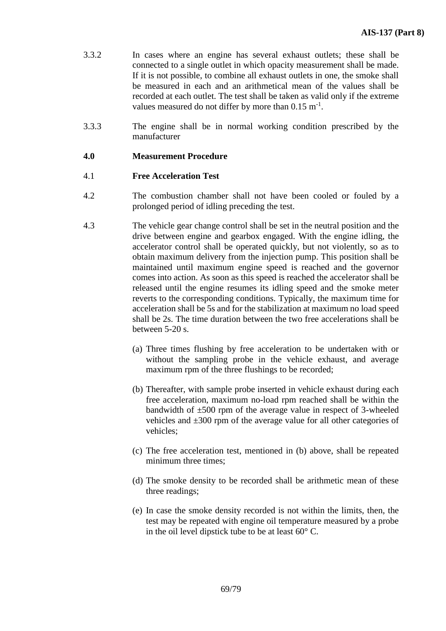- 3.3.2 In cases where an engine has several exhaust outlets; these shall be connected to a single outlet in which opacity measurement shall be made. If it is not possible, to combine all exhaust outlets in one, the smoke shall be measured in each and an arithmetical mean of the values shall be recorded at each outlet. The test shall be taken as valid only if the extreme values measured do not differ by more than  $0.15 \text{ m}^{-1}$ .
- 3.3.3 The engine shall be in normal working condition prescribed by the manufacturer

## **4.0 Measurement Procedure**

## 4.1 **Free Acceleration Test**

- 4.2 The combustion chamber shall not have been cooled or fouled by a prolonged period of idling preceding the test.
- 4.3 The vehicle gear change control shall be set in the neutral position and the drive between engine and gearbox engaged. With the engine idling, the accelerator control shall be operated quickly, but not violently, so as to obtain maximum delivery from the injection pump. This position shall be maintained until maximum engine speed is reached and the governor comes into action. As soon as this speed is reached the accelerator shall be released until the engine resumes its idling speed and the smoke meter reverts to the corresponding conditions. Typically, the maximum time for acceleration shall be 5s and for the stabilization at maximum no load speed shall be 2s. The time duration between the two free accelerations shall be between 5-20 s.
	- (a) Three times flushing by free acceleration to be undertaken with or without the sampling probe in the vehicle exhaust, and average maximum rpm of the three flushings to be recorded;
	- (b) Thereafter, with sample probe inserted in vehicle exhaust during each free acceleration, maximum no-load rpm reached shall be within the bandwidth of ±500 rpm of the average value in respect of 3-wheeled vehicles and ±300 rpm of the average value for all other categories of vehicles;
	- (c) The free acceleration test, mentioned in (b) above, shall be repeated minimum three times;
	- (d) The smoke density to be recorded shall be arithmetic mean of these three readings;
	- (e) In case the smoke density recorded is not within the limits, then, the test may be repeated with engine oil temperature measured by a probe in the oil level dipstick tube to be at least 60° C.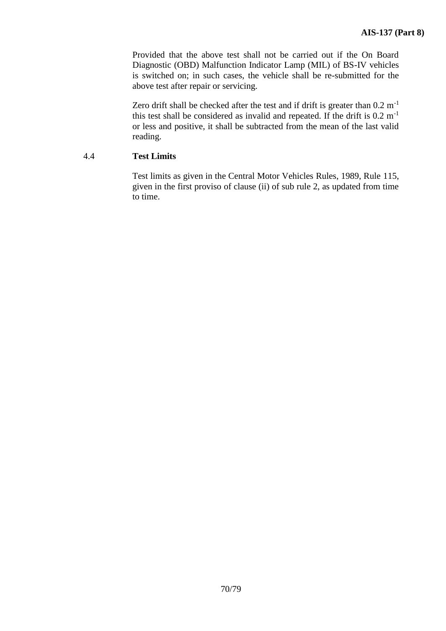Provided that the above test shall not be carried out if the On Board Diagnostic (OBD) Malfunction Indicator Lamp (MIL) of BS-IV vehicles is switched on; in such cases, the vehicle shall be re-submitted for the above test after repair or servicing.

Zero drift shall be checked after the test and if drift is greater than  $0.2 \text{ m}^{-1}$ this test shall be considered as invalid and repeated. If the drift is  $0.2 \text{ m}^{-1}$ or less and positive, it shall be subtracted from the mean of the last valid reading.

### 4.4 **Test Limits**

Test limits as given in the Central Motor Vehicles Rules, 1989, Rule 115, given in the first proviso of clause (ii) of sub rule 2, as updated from time to time.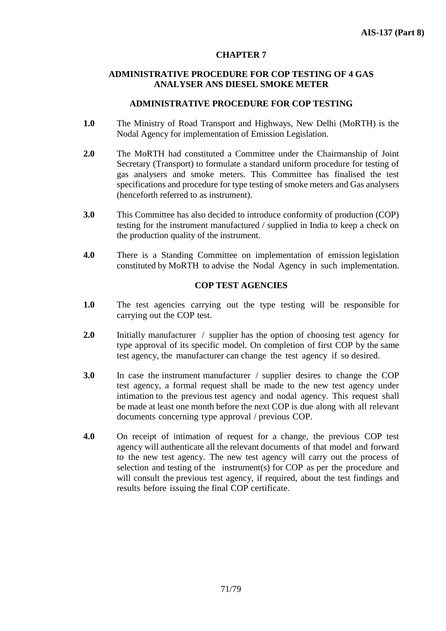### **CHAPTER 7**

### **ADMINISTRATIVE PROCEDURE FOR COP TESTING OF 4 GAS ANALYSER ANS DIESEL SMOKE METER**

### **ADMINISTRATIVE PROCEDURE FOR COP TESTING**

- **1.0** The Ministry of Road Transport and Highways, New Delhi (MoRTH) is the Nodal Agency for implementation of Emission Legislation.
- **2.0** The MoRTH had constituted a Committee under the Chairmanship of Joint Secretary (Transport) to formulate a standard uniform procedure for testing of gas analysers and smoke meters. This Committee has finalised the test specifications and procedure for type testing of smoke meters and Gas analysers (henceforth referred to as instrument).
- **3.0** This Committee has also decided to introduce conformity of production (COP) testing for the instrument manufactured / supplied in India to keep a check on the production quality of the instrument.
- **4.0** There is a Standing Committee on implementation of emission legislation constituted by MoRTH to advise the Nodal Agency in such implementation.

### **COP TEST AGENCIES**

- **1.0** The test agencies carrying out the type testing will be responsible for carrying out the COP test.
- **2.0** Initially manufacturer / supplier has the option of choosing test agency for type approval of its specific model. On completion of first COP by the same test agency, the manufacturer can change the test agency if so desired.
- **3.0** In case the instrument manufacturer / supplier desires to change the COP test agency, a formal request shall be made to the new test agency under intimation to the previous test agency and nodal agency. This request shall be made at least one month before the next COP is due along with all relevant documents concerning type approval / previous COP.
- **4.0** On receipt of intimation of request for a change, the previous COP test agency will authenticate all the relevant documents of that model and forward to the new test agency. The new test agency will carry out the process of selection and testing of the instrument(s) for COP as per the procedure and will consult the previous test agency, if required, about the test findings and results before issuing the final COP certificate.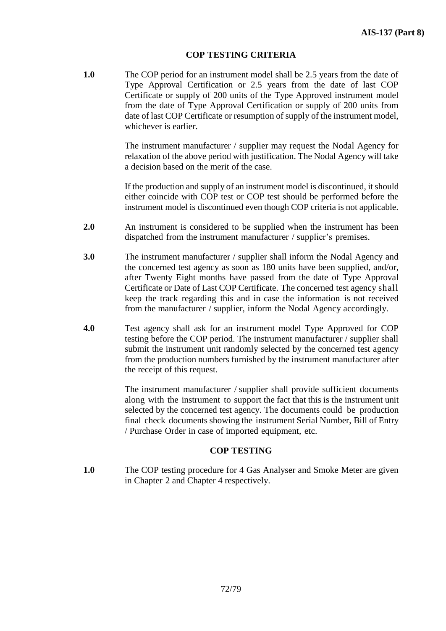#### **COP TESTING CRITERIA**

**1.0** The COP period for an instrument model shall be 2.5 years from the date of Type Approval Certification or 2.5 years from the date of last COP Certificate or supply of 200 units of the Type Approved instrument model from the date of Type Approval Certification or supply of 200 units from date of last COP Certificate or resumption of supply of the instrument model, whichever is earlier.

> The instrument manufacturer / supplier may request the Nodal Agency for relaxation of the above period with justification. The Nodal Agency will take a decision based on the merit of the case.

> If the production and supply of an instrument model is discontinued, it should either coincide with COP test or COP test should be performed before the instrument model is discontinued even though COP criteria is not applicable.

- **2.0** An instrument is considered to be supplied when the instrument has been dispatched from the instrument manufacturer / supplier's premises.
- **3.0** The instrument manufacturer / supplier shall inform the Nodal Agency and the concerned test agency as soon as 180 units have been supplied, and/or, after Twenty Eight months have passed from the date of Type Approval Certificate or Date of Last COP Certificate. The concerned test agency shall keep the track regarding this and in case the information is not received from the manufacturer / supplier, inform the Nodal Agency accordingly.
- **4.0** Test agency shall ask for an instrument model Type Approved for COP testing before the COP period. The instrument manufacturer / supplier shall submit the instrument unit randomly selected by the concerned test agency from the production numbers furnished by the instrument manufacturer after the receipt of this request.

The instrument manufacturer / supplier shall provide sufficient documents along with the instrument to support the fact that this is the instrument unit selected by the concerned test agency. The documents could be production final check documents showing the instrument Serial Number, Bill of Entry / Purchase Order in case of imported equipment, etc.

### **COP TESTING**

**1.0** The COP testing procedure for 4 Gas Analyser and Smoke Meter are given in Chapter 2 and Chapter 4 respectively.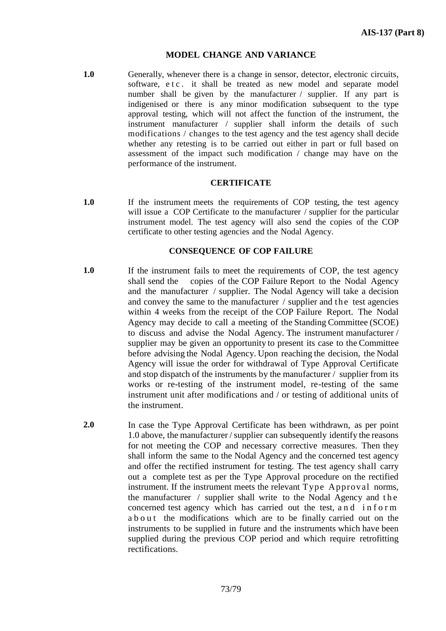#### **MODEL CHANGE AND VARIANCE**

**1.0** Generally, whenever there is a change in sensor, detector, electronic circuits, software, e t c . it shall be treated as new model and separate model number shall be given by the manufacturer / supplier. If any part is indigenised or there is any minor modification subsequent to the type approval testing, which will not affect the function of the instrument, the instrument manufacturer / supplier shall inform the details of such modifications / changes to the test agency and the test agency shall decide whether any retesting is to be carried out either in part or full based on assessment of the impact such modification / change may have on the performance of the instrument.

#### **CERTIFICATE**

**1.0** If the instrument meets the requirements of COP testing, the test agency will issue a COP Certificate to the manufacturer / supplier for the particular instrument model. The test agency will also send the copies of the COP certificate to other testing agencies and the Nodal Agency.

#### **CONSEQUENCE OF COP FAILURE**

- **1.0** If the instrument fails to meet the requirements of COP, the test agency shall send the copies of the COP Failure Report to the Nodal Agency and the manufacturer / supplier. The Nodal Agency will take a decision and convey the same to the manufacturer  $\ell$  supplier and the test agencies within 4 weeks from the receipt of the COP Failure Report. The Nodal Agency may decide to call a meeting of the Standing Committee (SCOE) to discuss and advise the Nodal Agency. The instrument manufacturer / supplier may be given an opportunity to present its case to the Committee before advising the Nodal Agency. Upon reaching the decision, the Nodal Agency will issue the order for withdrawal of Type Approval Certificate and stop dispatch of the instruments by the manufacturer / supplier from its works or re-testing of the instrument model, re-testing of the same instrument unit after modifications and / or testing of additional units of the instrument.
- **2.0** In case the Type Approval Certificate has been withdrawn, as per point 1.0 above, the manufacturer / supplier can subsequently identify the reasons for not meeting the COP and necessary corrective measures. Then they shall inform the same to the Nodal Agency and the concerned test agency and offer the rectified instrument for testing. The test agency shall carry out a complete test as per the Type Approval procedure on the rectified instrument. If the instrument meets the relevant Type Approval norms, the manufacturer  $\ell$  supplier shall write to the Nodal Agency and the concerned test agency which has carried out the test, and inform a b o u t the modifications which are to be finally carried out on the instruments to be supplied in future and the instruments which have been supplied during the previous COP period and which require retrofitting rectifications.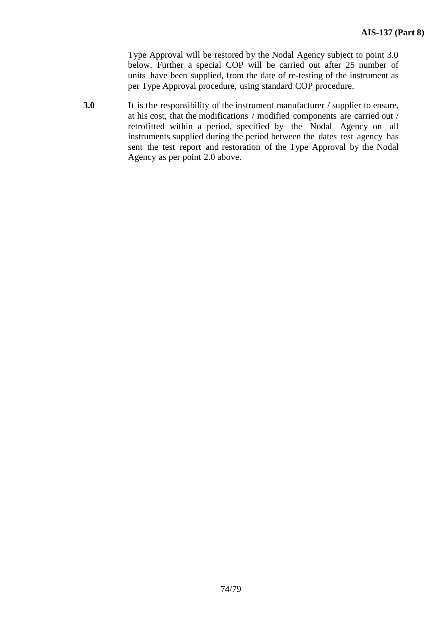Type Approval will be restored by the Nodal Agency subject to point 3.0 below. Further a special COP will be carried out after 25 number of units have been supplied, from the date of re-testing of the instrument as per Type Approval procedure, using standard COP procedure.

**3.0** It is the responsibility of the instrument manufacturer / supplier to ensure, at his cost, that the modifications / modified components are carried out / retrofitted within a period, specified by the Nodal Agency on all instruments supplied during the period between the dates test agency has sent the test report and restoration of the Type Approval by the Nodal Agency as per point 2.0 above.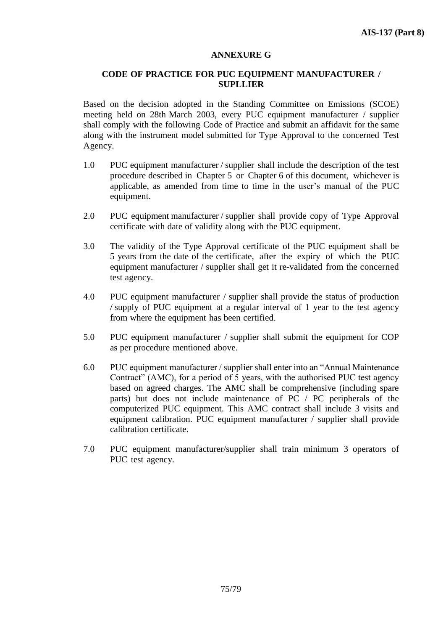### **ANNEXURE G**

### **CODE OF PRACTICE FOR PUC EQUIPMENT MANUFACTURER / SUPLLIER**

Based on the decision adopted in the Standing Committee on Emissions (SCOE) meeting held on 28th March 2003, every PUC equipment manufacturer / supplier shall comply with the following Code of Practice and submit an affidavit for the same along with the instrument model submitted for Type Approval to the concerned Test Agency.

- 1.0 PUC equipment manufacturer / supplier shall include the description of the test procedure described in Chapter 5 or Chapter 6 of this document, whichever is applicable, as amended from time to time in the user's manual of the PUC equipment.
- 2.0 PUC equipment manufacturer / supplier shall provide copy of Type Approval certificate with date of validity along with the PUC equipment.
- 3.0 The validity of the Type Approval certificate of the PUC equipment shall be 5 years from the date of the certificate, after the expiry of which the PUC equipment manufacturer / supplier shall get it re-validated from the concerned test agency.
- 4.0 PUC equipment manufacturer / supplier shall provide the status of production / supply of PUC equipment at a regular interval of 1 year to the test agency from where the equipment has been certified.
- 5.0 PUC equipment manufacturer / supplier shall submit the equipment for COP as per procedure mentioned above.
- 6.0 PUC equipment manufacturer / supplier shall enter into an "Annual Maintenance Contract" (AMC), for a period of 5 years, with the authorised PUC test agency based on agreed charges. The AMC shall be comprehensive (including spare parts) but does not include maintenance of PC / PC peripherals of the computerized PUC equipment. This AMC contract shall include 3 visits and equipment calibration. PUC equipment manufacturer / supplier shall provide calibration certificate.
- 7.0 PUC equipment manufacturer/supplier shall train minimum 3 operators of PUC test agency.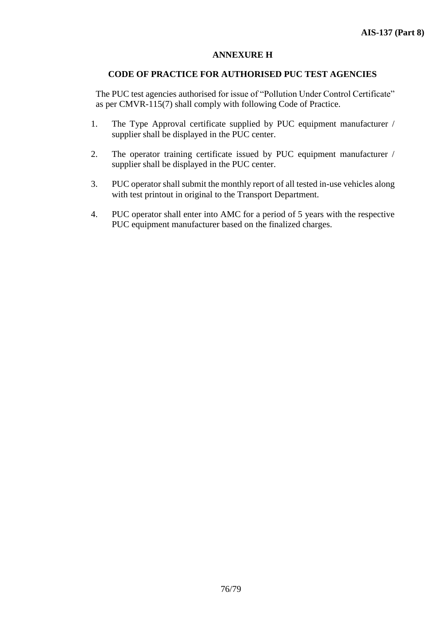## **ANNEXURE H**

### **CODE OF PRACTICE FOR AUTHORISED PUC TEST AGENCIES**

The PUC test agencies authorised for issue of "Pollution Under Control Certificate" as per CMVR-115(7) shall comply with following Code of Practice.

- 1. The Type Approval certificate supplied by PUC equipment manufacturer / supplier shall be displayed in the PUC center.
- 2. The operator training certificate issued by PUC equipment manufacturer / supplier shall be displayed in the PUC center.
- 3. PUC operator shall submit the monthly report of all tested in-use vehicles along with test printout in original to the Transport Department.
- 4. PUC operator shall enter into AMC for a period of 5 years with the respective PUC equipment manufacturer based on the finalized charges.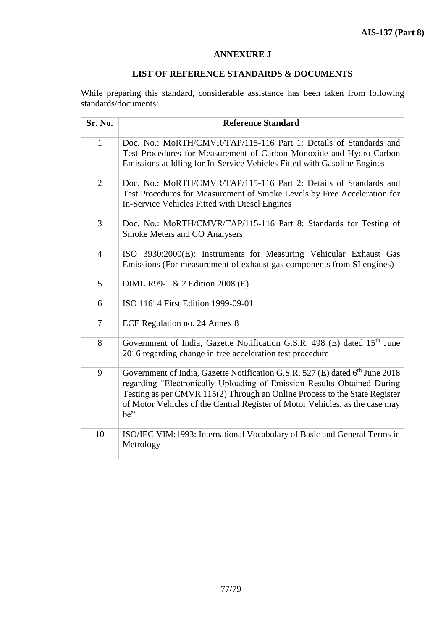# **ANNEXURE J**

# **LIST OF REFERENCE STANDARDS & DOCUMENTS**

While preparing this standard, considerable assistance has been taken from following standards/documents:

| Sr. No.        | <b>Reference Standard</b>                                                                                                                                                                                                                                                                                                                |
|----------------|------------------------------------------------------------------------------------------------------------------------------------------------------------------------------------------------------------------------------------------------------------------------------------------------------------------------------------------|
| $\mathbf{1}$   | Doc. No.: MoRTH/CMVR/TAP/115-116 Part 1: Details of Standards and<br>Test Procedures for Measurement of Carbon Monoxide and Hydro-Carbon<br>Emissions at Idling for In-Service Vehicles Fitted with Gasoline Engines                                                                                                                     |
| $\overline{2}$ | Doc. No.: MoRTH/CMVR/TAP/115-116 Part 2: Details of Standards and<br>Test Procedures for Measurement of Smoke Levels by Free Acceleration for<br>In-Service Vehicles Fitted with Diesel Engines                                                                                                                                          |
| 3              | Doc. No.: MoRTH/CMVR/TAP/115-116 Part 8: Standards for Testing of<br><b>Smoke Meters and CO Analysers</b>                                                                                                                                                                                                                                |
| $\overline{4}$ | ISO 3930:2000(E): Instruments for Measuring Vehicular Exhaust Gas<br>Emissions (For measurement of exhaust gas components from SI engines)                                                                                                                                                                                               |
| 5              | OIML R99-1 & 2 Edition 2008 (E)                                                                                                                                                                                                                                                                                                          |
| 6              | ISO 11614 First Edition 1999-09-01                                                                                                                                                                                                                                                                                                       |
| $\tau$         | ECE Regulation no. 24 Annex 8                                                                                                                                                                                                                                                                                                            |
| 8              | Government of India, Gazette Notification G.S.R. 498 (E) dated 15 <sup>th</sup> June<br>2016 regarding change in free acceleration test procedure                                                                                                                                                                                        |
| 9              | Government of India, Gazette Notification G.S.R. 527 (E) dated 6 <sup>th</sup> June 2018<br>regarding "Electronically Uploading of Emission Results Obtained During<br>Testing as per CMVR 115(2) Through an Online Process to the State Register<br>of Motor Vehicles of the Central Register of Motor Vehicles, as the case may<br>be" |
| 10             | ISO/IEC VIM:1993: International Vocabulary of Basic and General Terms in<br>Metrology                                                                                                                                                                                                                                                    |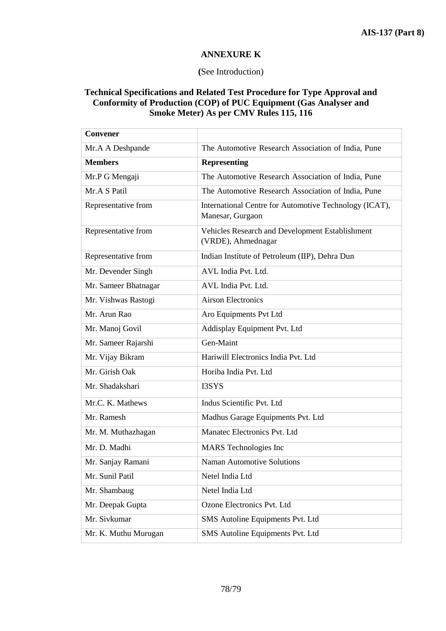# **ANNEXURE K**

## **(**See Introduction)

## **Technical Specifications and Related Test Procedure for Type Approval and Conformity of Production (COP) of PUC Equipment (Gas Analyser and Smoke Meter) As per CMV Rules 115, 116**

| <b>Convener</b>      |                                                                            |
|----------------------|----------------------------------------------------------------------------|
| Mr.A A Deshpande     | The Automotive Research Association of India, Pune                         |
| <b>Members</b>       | <b>Representing</b>                                                        |
| Mr.P G Mengaji       | The Automotive Research Association of India, Pune                         |
| Mr.A S Patil         | The Automotive Research Association of India, Pune                         |
| Representative from  | International Centre for Automotive Technology (ICAT),<br>Manesar, Gurgaon |
| Representative from  | Vehicles Research and Development Establishment<br>(VRDE), Ahmednagar      |
| Representative from  | Indian Institute of Petroleum (IIP), Dehra Dun                             |
| Mr. Devender Singh   | AVL India Pvt. Ltd.                                                        |
| Mr. Sameer Bhatnagar | AVL India Pvt. Ltd.                                                        |
| Mr. Vishwas Rastogi  | <b>Airson Electronics</b>                                                  |
| Mr. Arun Rao         | Aro Equipments Pvt Ltd                                                     |
| Mr. Manoj Govil      | Addisplay Equipment Pvt. Ltd                                               |
| Mr. Sameer Rajarshi  | Gen-Maint                                                                  |
| Mr. Vijay Bikram     | Hariwill Electronics India Pvt. Ltd                                        |
| Mr. Girish Oak       | Horiba India Pvt. Ltd                                                      |
| Mr. Shadakshari      | I3SYS                                                                      |
| Mr.C. K. Mathews     | Indus Scientific Pvt. Ltd                                                  |
| Mr. Ramesh           | Madhus Garage Equipments Pvt. Ltd                                          |
| Mr. M. Muthazhagan   | Manatec Electronics Pvt. Ltd                                               |
| Mr. D. Madhi         | <b>MARS</b> Technologies Inc                                               |
| Mr. Sanjay Ramani    | <b>Naman Automotive Solutions</b>                                          |
| Mr. Sunil Patil      | Netel India Ltd                                                            |
| Mr. Shambaug         | Netel India Ltd                                                            |
| Mr. Deepak Gupta     | Ozone Electronics Pvt. Ltd                                                 |
| Mr. Sivkumar         | SMS Autoline Equipments Pvt. Ltd                                           |
| Mr. K. Muthu Murugan | SMS Autoline Equipments Pvt. Ltd                                           |